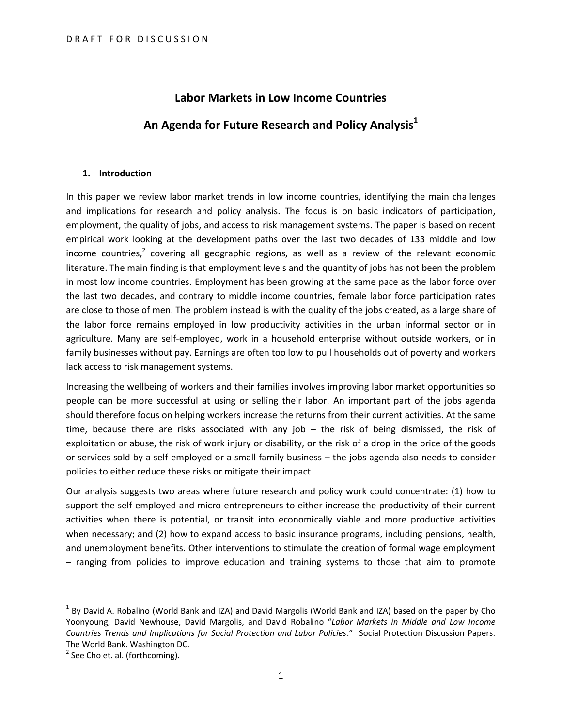# **Labor Markets in Low Income Countries An Agenda for Future Research and Policy Analysis<sup>1</sup>**

# **1. Introduction**

In this paper we review labor market trends in low income countries, identifying the main challenges and implications for research and policy analysis. The focus is on basic indicators of participation, employment, the quality of jobs, and access to risk management systems. The paper is based on recent empirical work looking at the development paths over the last two decades of 133 middle and low income countries,<sup>2</sup> covering all geographic regions, as well as a review of the relevant economic literature. The main finding is that employment levels and the quantity of jobs has not been the problem in most low income countries. Employment has been growing at the same pace as the labor force over the last two decades, and contrary to middle income countries, female labor force participation rates are close to those of men. The problem instead is with the quality of the jobs created, as a large share of the labor force remains employed in low productivity activities in the urban informal sector or in agriculture. Many are self-employed, work in a household enterprise without outside workers, or in family businesses without pay. Earnings are often too low to pull households out of poverty and workers lack access to risk management systems.

Increasing the wellbeing of workers and their families involves improving labor market opportunities so people can be more successful at using or selling their labor. An important part of the jobs agenda should therefore focus on helping workers increase the returns from their current activities. At the same time, because there are risks associated with any job – the risk of being dismissed, the risk of exploitation or abuse, the risk of work injury or disability, or the risk of a drop in the price of the goods or services sold by a self-employed or a small family business – the jobs agenda also needs to consider policies to either reduce these risks or mitigate their impact.

Our analysis suggests two areas where future research and policy work could concentrate: (1) how to support the self-employed and micro-entrepreneurs to either increase the productivity of their current activities when there is potential, or transit into economically viable and more productive activities when necessary; and (2) how to expand access to basic insurance programs, including pensions, health, and unemployment benefits. Other interventions to stimulate the creation of formal wage employment – ranging from policies to improve education and training systems to those that aim to promote

l

 $^1$  By David A. Robalino (World Bank and IZA) and David Margolis (World Bank and IZA) based on the paper by Cho Yoonyoung, David Newhouse, David Margolis, and David Robalino "*Labor Markets in Middle and Low Income Countries Trends and Implications for Social Protection and Labor Policies*." Social Protection Discussion Papers. The World Bank. Washington DC.

<sup>&</sup>lt;sup>2</sup> See Cho et. al. (forthcoming).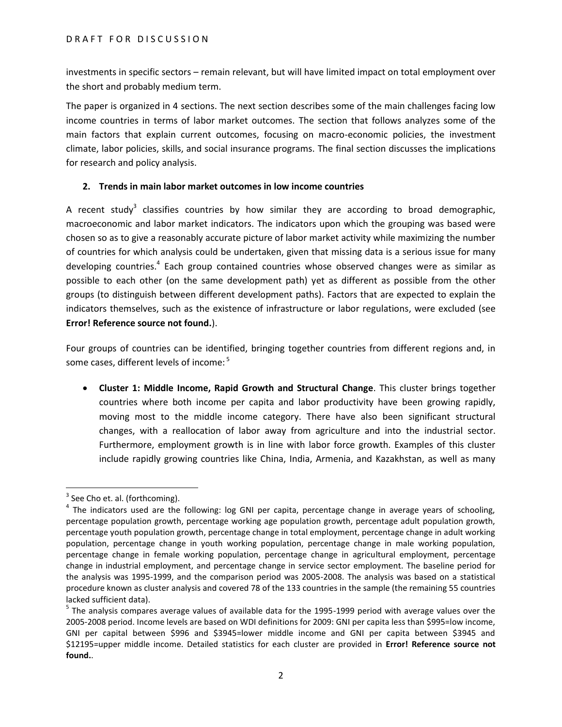investments in specific sectors – remain relevant, but will have limited impact on total employment over the short and probably medium term.

The paper is organized in 4 sections. The next section describes some of the main challenges facing low income countries in terms of labor market outcomes. The section that follows analyzes some of the main factors that explain current outcomes, focusing on macro-economic policies, the investment climate, labor policies, skills, and social insurance programs. The final section discusses the implications for research and policy analysis.

# **2. Trends in main labor market outcomes in low income countries**

A recent study<sup>3</sup> classifies countries by how similar they are according to broad demographic, macroeconomic and labor market indicators. The indicators upon which the grouping was based were chosen so as to give a reasonably accurate picture of labor market activity while maximizing the number of countries for which analysis could be undertaken, given that missing data is a serious issue for many developing countries.<sup>4</sup> Each group contained countries whose observed changes were as similar as possible to each other (on the same development path) yet as different as possible from the other groups (to distinguish between different development paths). Factors that are expected to explain the indicators themselves, such as the existence of infrastructure or labor regulations, were excluded (see **Error! Reference source not found.**).

Four groups of countries can be identified, bringing together countries from different regions and, in some cases, different levels of income: <sup>5</sup>

 **Cluster 1: Middle Income, Rapid Growth and Structural Change**. This cluster brings together countries where both income per capita and labor productivity have been growing rapidly, moving most to the middle income category. There have also been significant structural changes, with a reallocation of labor away from agriculture and into the industrial sector. Furthermore, employment growth is in line with labor force growth. Examples of this cluster include rapidly growing countries like China, India, Armenia, and Kazakhstan, as well as many

<sup>&</sup>lt;sup>3</sup> See Cho et. al. (forthcoming).

<sup>&</sup>lt;sup>4</sup> The indicators used are the following: log GNI per capita, percentage change in average years of schooling, percentage population growth, percentage working age population growth, percentage adult population growth, percentage youth population growth, percentage change in total employment, percentage change in adult working population, percentage change in youth working population, percentage change in male working population, percentage change in female working population, percentage change in agricultural employment, percentage change in industrial employment, and percentage change in service sector employment. The baseline period for the analysis was 1995-1999, and the comparison period was 2005-2008. The analysis was based on a statistical procedure known as cluster analysis and covered 78 of the 133 countries in the sample (the remaining 55 countries lacked sufficient data).

<sup>&</sup>lt;sup>5</sup> The analysis compares average values of available data for the 1995-1999 period with average values over the 2005-2008 period. Income levels are based on WDI definitions for 2009: GNI per capita less than \$995=low income, GNI per capital between \$996 and \$3945=lower middle income and GNI per capita between \$3945 and \$12195=upper middle income. Detailed statistics for each cluster are provided in **Error! Reference source not found.**.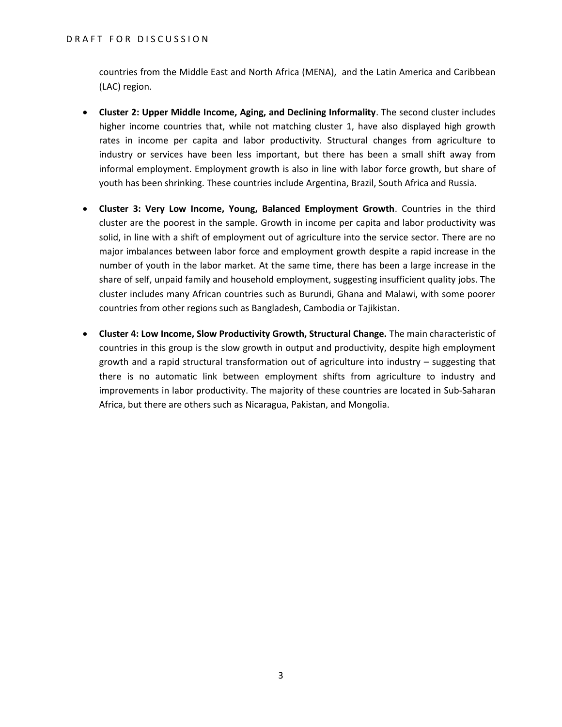countries from the Middle East and North Africa (MENA), and the Latin America and Caribbean (LAC) region.

- **Cluster 2: Upper Middle Income, Aging, and Declining Informality**. The second cluster includes higher income countries that, while not matching cluster 1, have also displayed high growth rates in income per capita and labor productivity. Structural changes from agriculture to industry or services have been less important, but there has been a small shift away from informal employment. Employment growth is also in line with labor force growth, but share of youth has been shrinking. These countries include Argentina, Brazil, South Africa and Russia.
- **Cluster 3: Very Low Income, Young, Balanced Employment Growth**. Countries in the third cluster are the poorest in the sample. Growth in income per capita and labor productivity was solid, in line with a shift of employment out of agriculture into the service sector. There are no major imbalances between labor force and employment growth despite a rapid increase in the number of youth in the labor market. At the same time, there has been a large increase in the share of self, unpaid family and household employment, suggesting insufficient quality jobs. The cluster includes many African countries such as Burundi, Ghana and Malawi, with some poorer countries from other regions such as Bangladesh, Cambodia or Tajikistan.
- **Cluster 4: Low Income, Slow Productivity Growth, Structural Change.** The main characteristic of countries in this group is the slow growth in output and productivity, despite high employment growth and a rapid structural transformation out of agriculture into industry – suggesting that there is no automatic link between employment shifts from agriculture to industry and improvements in labor productivity. The majority of these countries are located in Sub-Saharan Africa, but there are others such as Nicaragua, Pakistan, and Mongolia.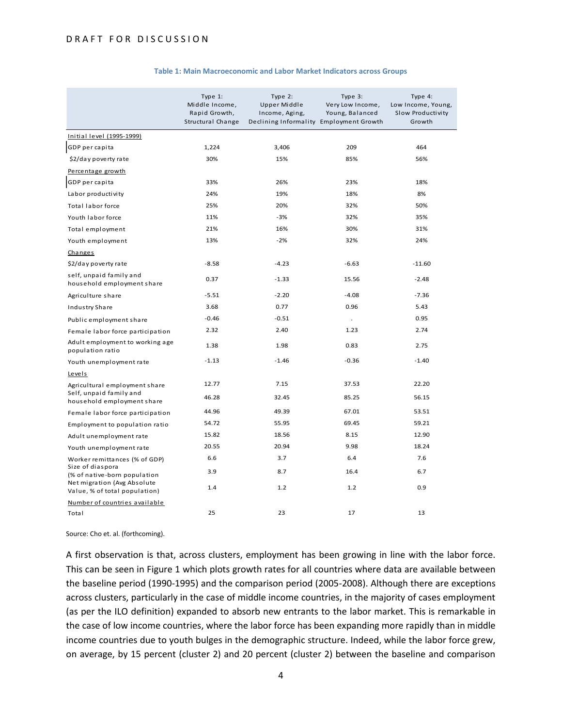|                                                                                 | Type $1$ :<br>Middle Income,<br>Rapid Growth,<br>Structural Change | Type $2$ :<br>Upper Middle<br>Income, Aging,<br>Declining Informality Employment Growth | Type 3:<br>Very Low Income,<br>Young, Balanced | Type $4:$<br>Low Income, Young,<br>Slow Productivity<br>Growth |
|---------------------------------------------------------------------------------|--------------------------------------------------------------------|-----------------------------------------------------------------------------------------|------------------------------------------------|----------------------------------------------------------------|
| Initial level (1995-1999)                                                       |                                                                    |                                                                                         |                                                |                                                                |
| GDP per capita                                                                  | 1,224                                                              | 3,406                                                                                   | 209                                            | 464                                                            |
| \$2/day poverty rate                                                            | 30%                                                                | 15%                                                                                     | 85%                                            | 56%                                                            |
| Percentage growth                                                               |                                                                    |                                                                                         |                                                |                                                                |
| GDP per capita                                                                  | 33%                                                                | 26%                                                                                     | 23%                                            | 18%                                                            |
| Labor productivity                                                              | 24%                                                                | 19%                                                                                     | 18%                                            | 8%                                                             |
| Total labor force                                                               | 25%                                                                | 20%                                                                                     | 32%                                            | 50%                                                            |
| Youth labor force                                                               | 11%                                                                | $-3%$                                                                                   | 32%                                            | 35%                                                            |
| Total employment                                                                | 21%                                                                | 16%                                                                                     | 30%                                            | 31%                                                            |
| Youth employment                                                                | 13%                                                                | $-2%$                                                                                   | 32%                                            | 24%                                                            |
| Changes                                                                         |                                                                    |                                                                                         |                                                |                                                                |
| \$2/day poverty rate                                                            | $-8.58$                                                            | $-4.23$                                                                                 | $-6.63$                                        | $-11.60$                                                       |
| self, unpaid family and<br>household employment share                           | 0.37                                                               | $-1.33$                                                                                 | 15.56                                          | $-2.48$                                                        |
| Agriculture share                                                               | $-5.51$                                                            | $-2.20$                                                                                 | $-4.08$                                        | $-7.36$                                                        |
| <b>Industry Share</b>                                                           | 3.68                                                               | 0.77                                                                                    | 0.96                                           | 5.43                                                           |
| Public employment share                                                         | $-0.46$                                                            | $-0.51$                                                                                 | $\epsilon$                                     | 0.95                                                           |
| Female labor force participation                                                | 2.32                                                               | 2.40                                                                                    | 1.23                                           | 2.74                                                           |
| Adult employment to working age<br>population ratio                             | 1.38                                                               | 1.98                                                                                    | 0.83                                           | 2.75                                                           |
| Youth unemployment rate                                                         | $-1.13$                                                            | $-1.46$                                                                                 | $-0.36$                                        | $-1.40$                                                        |
| Levels                                                                          |                                                                    |                                                                                         |                                                |                                                                |
| Agricultural employment share                                                   | 12.77                                                              | 7.15                                                                                    | 37.53                                          | 22.20                                                          |
| Self, unpaid family and<br>household employment share                           | 46.28                                                              | 32.45                                                                                   | 85.25                                          | 56.15                                                          |
| Female labor force participation                                                | 44.96                                                              | 49.39                                                                                   | 67.01                                          | 53.51                                                          |
| Employment to population ratio                                                  | 54.72                                                              | 55.95                                                                                   | 69.45                                          | 59.21                                                          |
| Adult unemployment rate                                                         | 15.82                                                              | 18.56                                                                                   | 8.15                                           | 12.90                                                          |
| Youth unemployment rate                                                         | 20.55                                                              | 20.94                                                                                   | 9.98                                           | 18.24                                                          |
| Worker remittances (% of GDP)                                                   | 6.6                                                                | 3.7                                                                                     | 6.4                                            | 7.6                                                            |
| Size of diaspora<br>(% of native-born population<br>Net migration (Avg Absolute | 3.9                                                                | 8.7                                                                                     | 16.4                                           | 6.7                                                            |
| Value, % of total population)                                                   | 1.4                                                                | 1.2                                                                                     | 1.2                                            | 0.9                                                            |
| Number of countries available<br>Total                                          | 25                                                                 | 23                                                                                      | 17                                             | 13                                                             |

#### **Table 1: Main Macroeconomic and Labor Market Indicators across Groups**

Source: Cho et. al. (forthcoming).

A first observation is that, across clusters, employment has been growing in line with the labor force. This can be seen in [Figure 1](#page-4-0) which plots growth rates for all countries where data are available between the baseline period (1990-1995) and the comparison period (2005-2008). Although there are exceptions across clusters, particularly in the case of middle income countries, in the majority of cases employment (as per the ILO definition) expanded to absorb new entrants to the labor market. This is remarkable in the case of low income countries, where the labor force has been expanding more rapidly than in middle income countries due to youth bulges in the demographic structure. Indeed, while the labor force grew, on average, by 15 percent (cluster 2) and 20 percent (cluster 2) between the baseline and comparison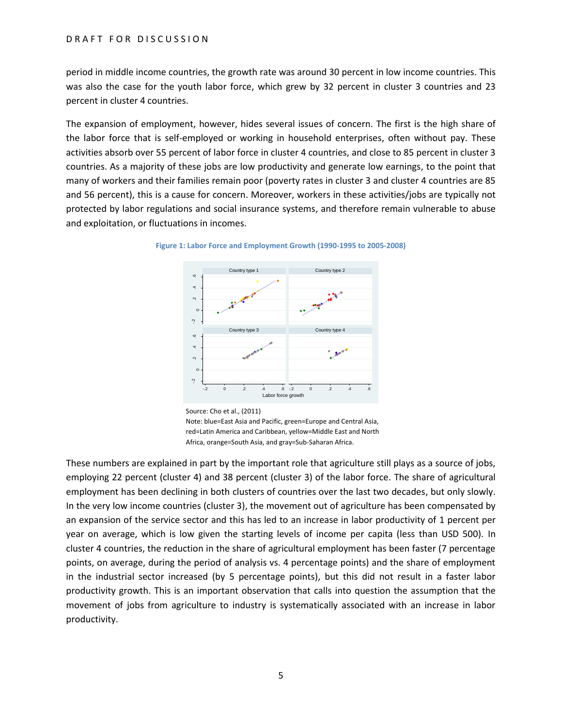period in middle income countries, the growth rate was around 30 percent in low income countries. This was also the case for the youth labor force, which grew by 32 percent in cluster 3 countries and 23 percent in cluster 4 countries.

The expansion of employment, however, hides several issues of concern. The first is the high share of the labor force that is self-employed or working in household enterprises, often without pay. These activities absorb over 55 percent of labor force in cluster 4 countries, and close to 85 percent in cluster 3 countries. As a majority of these jobs are low productivity and generate low earnings, to the point that many of workers and their families remain poor (poverty rates in cluster 3 and cluster 4 countries are 85 and 56 percent), this is a cause for concern. Moreover, workers in these activities/jobs are typically not protected by labor regulations and social insurance systems, and therefore remain vulnerable to abuse and exploitation, or fluctuations in incomes.



<span id="page-4-0"></span>**Figure 1: Labor Force and Employment Growth (1990-1995 to 2005-2008)**

These numbers are explained in part by the important role that agriculture still plays as a source of jobs, employing 22 percent (cluster 4) and 38 percent (cluster 3) of the labor force. The share of agricultural employment has been declining in both clusters of countries over the last two decades, but only slowly. In the very low income countries (cluster 3), the movement out of agriculture has been compensated by an expansion of the service sector and this has led to an increase in labor productivity of 1 percent per year on average, which is low given the starting levels of income per capita (less than USD 500). In cluster 4 countries, the reduction in the share of agricultural employment has been faster (7 percentage points, on average, during the period of analysis vs. 4 percentage points) and the share of employment in the industrial sector increased (by 5 percentage points), but this did not result in a faster labor productivity growth. This is an important observation that calls into question the assumption that the movement of jobs from agriculture to industry is systematically associated with an increase in labor productivity.

Source: Cho et al., (2011)

Note: blue=East Asia and Pacific, green=Europe and Central Asia, red=Latin America and Caribbean, yellow=Middle East and North Africa, orange=South Asia, and gray=Sub-Saharan Africa.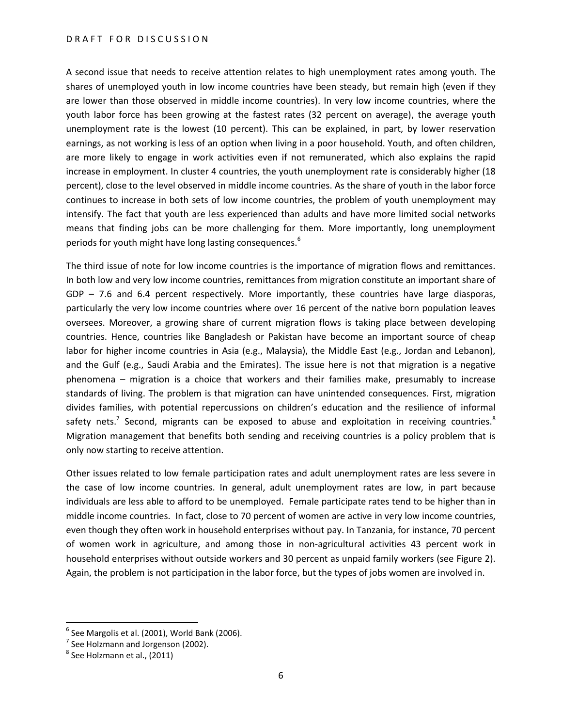A second issue that needs to receive attention relates to high unemployment rates among youth. The shares of unemployed youth in low income countries have been steady, but remain high (even if they are lower than those observed in middle income countries). In very low income countries, where the youth labor force has been growing at the fastest rates (32 percent on average), the average youth unemployment rate is the lowest (10 percent). This can be explained, in part, by lower reservation earnings, as not working is less of an option when living in a poor household. Youth, and often children, are more likely to engage in work activities even if not remunerated, which also explains the rapid increase in employment. In cluster 4 countries, the youth unemployment rate is considerably higher (18 percent), close to the level observed in middle income countries. As the share of youth in the labor force continues to increase in both sets of low income countries, the problem of youth unemployment may intensify. The fact that youth are less experienced than adults and have more limited social networks means that finding jobs can be more challenging for them. More importantly, long unemployment periods for youth might have long lasting consequences.<sup>6</sup>

The third issue of note for low income countries is the importance of migration flows and remittances. In both low and very low income countries, remittances from migration constitute an important share of GDP – 7.6 and 6.4 percent respectively. More importantly, these countries have large diasporas, particularly the very low income countries where over 16 percent of the native born population leaves oversees. Moreover, a growing share of current migration flows is taking place between developing countries. Hence, countries like Bangladesh or Pakistan have become an important source of cheap labor for higher income countries in Asia (e.g., Malaysia), the Middle East (e.g., Jordan and Lebanon), and the Gulf (e.g., Saudi Arabia and the Emirates). The issue here is not that migration is a negative phenomena – migration is a choice that workers and their families make, presumably to increase standards of living. The problem is that migration can have unintended consequences. First, migration divides families, with potential repercussions on children's education and the resilience of informal safety nets.<sup>7</sup> Second, migrants can be exposed to abuse and exploitation in receiving countries.<sup>8</sup> Migration management that benefits both sending and receiving countries is a policy problem that is only now starting to receive attention.

Other issues related to low female participation rates and adult unemployment rates are less severe in the case of low income countries. In general, adult unemployment rates are low, in part because individuals are less able to afford to be unemployed. Female participate rates tend to be higher than in middle income countries. In fact, close to 70 percent of women are active in very low income countries, even though they often work in household enterprises without pay. In Tanzania, for instance, 70 percent of women work in agriculture, and among those in non-agricultural activities 43 percent work in household enterprises without outside workers and 30 percent as unpaid family workers (see [Figure 2\)](#page-6-0). Again, the problem is not participation in the labor force, but the types of jobs women are involved in.

 $^6$  See Margolis et al. (2001), World Bank (2006).

 $7$  See Holzmann and Jorgenson (2002).

 $^8$  See Holzmann et al., (2011)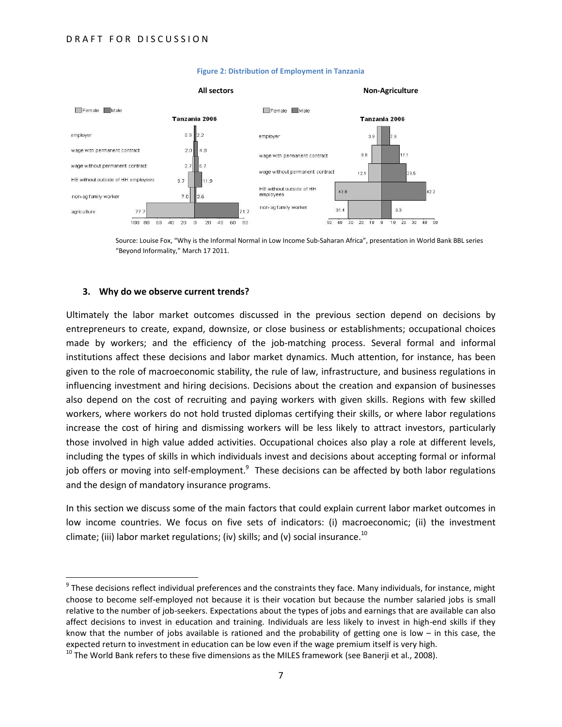<span id="page-6-0"></span>

#### **Figure 2: Distribution of Employment in Tanzania**

Source: Louise Fox, "Why is the Informal Normal in Low Income Sub-Saharan Africa", presentation in World Bank BBL series "Beyond Informality," March 17 2011.

#### **3. Why do we observe current trends?**

 $\overline{\phantom{a}}$ 

Ultimately the labor market outcomes discussed in the previous section depend on decisions by entrepreneurs to create, expand, downsize, or close business or establishments; occupational choices made by workers; and the efficiency of the job-matching process. Several formal and informal institutions affect these decisions and labor market dynamics. Much attention, for instance, has been given to the role of macroeconomic stability, the rule of law, infrastructure, and business regulations in influencing investment and hiring decisions. Decisions about the creation and expansion of businesses also depend on the cost of recruiting and paying workers with given skills. Regions with few skilled workers, where workers do not hold trusted diplomas certifying their skills, or where labor regulations increase the cost of hiring and dismissing workers will be less likely to attract investors, particularly those involved in high value added activities. Occupational choices also play a role at different levels, including the types of skills in which individuals invest and decisions about accepting formal or informal job offers or moving into self-employment.<sup>9</sup> These decisions can be affected by both labor regulations and the design of mandatory insurance programs.

In this section we discuss some of the main factors that could explain current labor market outcomes in low income countries. We focus on five sets of indicators: (i) macroeconomic; (ii) the investment climate; (iii) labor market regulations; (iv) skills; and (v) social insurance. $^{10}$ 

 $^9$  These decisions reflect individual preferences and the constraints they face. Many individuals, for instance, might choose to become self-employed not because it is their vocation but because the number salaried jobs is small relative to the number of job-seekers. Expectations about the types of jobs and earnings that are available can also affect decisions to invest in education and training. Individuals are less likely to invest in high-end skills if they know that the number of jobs available is rationed and the probability of getting one is low  $-$  in this case, the expected return to investment in education can be low even if the wage premium itself is very high.

 $10$  The World Bank refers to these five dimensions as the MILES framework (see Banerji et al., 2008).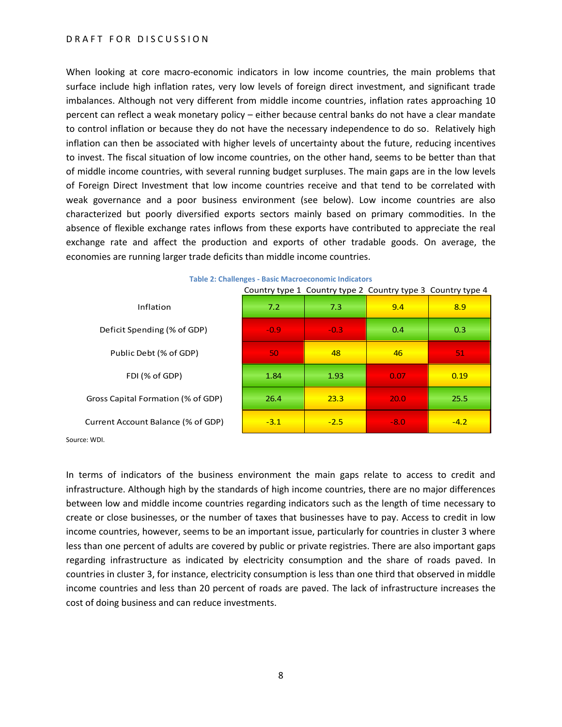When looking at core macro-economic indicators in low income countries, the main problems that surface include high inflation rates, very low levels of foreign direct investment, and significant trade imbalances. Although not very different from middle income countries, inflation rates approaching 10 percent can reflect a weak monetary policy – either because central banks do not have a clear mandate to control inflation or because they do not have the necessary independence to do so. Relatively high inflation can then be associated with higher levels of uncertainty about the future, reducing incentives to invest. The fiscal situation of low income countries, on the other hand, seems to be better than that of middle income countries, with several running budget surpluses. The main gaps are in the low levels of Foreign Direct Investment that low income countries receive and that tend to be correlated with weak governance and a poor business environment (see below). Low income countries are also characterized but poorly diversified exports sectors mainly based on primary commodities. In the absence of flexible exchange rates inflows from these exports have contributed to appreciate the real exchange rate and affect the production and exports of other tradable goods. On average, the economies are running larger trade deficits than middle income countries.

|                                    | Country type 1 Country type 2 Country type 3 Country type 4 |        |        |        |
|------------------------------------|-------------------------------------------------------------|--------|--------|--------|
| Inflation                          | 7.2                                                         | 7.3    | 9.4    | 8.9    |
| Deficit Spending (% of GDP)        | $-0.9$                                                      | $-0.3$ | 0.4    | 0.3    |
| Public Debt (% of GDP)             | 50                                                          | 48     | 46     | 51     |
| FDI (% of GDP)                     | 1.84                                                        | 1.93   | 0.07   | 0.19   |
| Gross Capital Formation (% of GDP) | 26.4                                                        | 23.3   | 20.0   | 25.5   |
| Current Account Balance (% of GDP) | $-3.1$                                                      | $-2.5$ | $-8.0$ | $-4.2$ |

# **Table 2: Challenges - Basic Macroeconomic Indicators**

Source: WDI.

In terms of indicators of the business environment the main gaps relate to access to credit and infrastructure. Although high by the standards of high income countries, there are no major differences between low and middle income countries regarding indicators such as the length of time necessary to create or close businesses, or the number of taxes that businesses have to pay. Access to credit in low income countries, however, seems to be an important issue, particularly for countries in cluster 3 where less than one percent of adults are covered by public or private registries. There are also important gaps regarding infrastructure as indicated by electricity consumption and the share of roads paved. In countries in cluster 3, for instance, electricity consumption is less than one third that observed in middle income countries and less than 20 percent of roads are paved. The lack of infrastructure increases the cost of doing business and can reduce investments.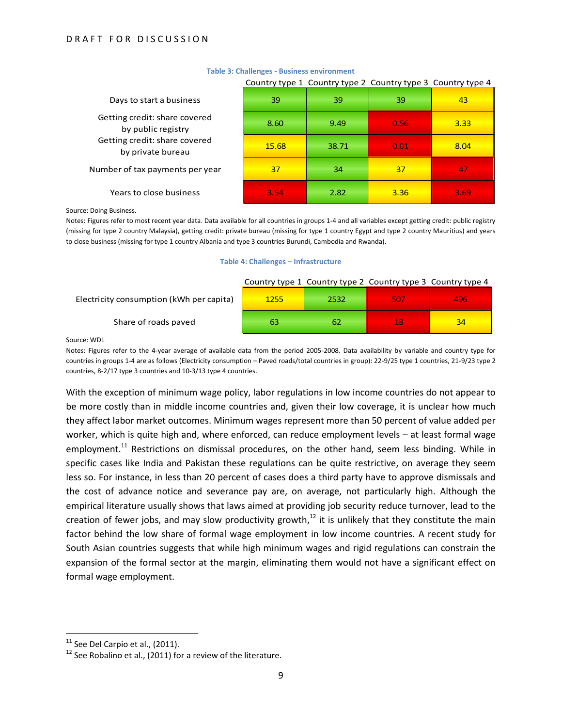|                                                     |       | country type $\pm$ country type $\pm$ country type 5 country type $\pm$ |      |      |
|-----------------------------------------------------|-------|-------------------------------------------------------------------------|------|------|
| Days to start a business                            | 39    | 39                                                                      | 39   | 43   |
| Getting credit: share covered<br>by public registry | 8.60  | 9.49                                                                    | 0.56 | 3.33 |
| Getting credit: share covered<br>by private bureau  | 15.68 | 38.71                                                                   | 0.01 | 8.04 |
| Number of tax payments per year                     | 37    | 34                                                                      | 37   | 47   |
| Years to close business                             | 3.54  | 2.82                                                                    | 3.36 | 3.69 |

# **Table 3: Challenges - Business environment**

# Country type 1 Country type 2 Country type 3 Country type 4

Source: Doing Business.

Notes: Figures refer to most recent year data. Data available for all countries in groups 1-4 and all variables except getting credit: public registry (missing for type 2 country Malaysia), getting credit: private bureau (missing for type 1 country Egypt and type 2 country Mauritius) and years to close business (missing for type 1 country Albania and type 3 countries Burundi, Cambodia and Rwanda).

#### **Table 4: Challenges – Infrastructure**

#### Country type 1 Country type 2 Country type 3 Country type 4

| Electricity consumption (kWh per capita) | 1255 | 2532 | 507 | 496 |
|------------------------------------------|------|------|-----|-----|
| Share of roads paved                     | 63   | 62   | 18  | 34  |

Source: WDI.

Notes: Figures refer to the 4-year average of available data from the period 2005-2008. Data availability by variable and country type for countries in groups 1-4 are as follows (Electricity consumption – Paved roads/total countries in group): 22-9/25 type 1 countries, 21-9/23 type 2 countries, 8-2/17 type 3 countries and 10-3/13 type 4 countries.

With the exception of minimum wage policy, labor regulations in low income countries do not appear to be more costly than in middle income countries and, given their low coverage, it is unclear how much they affect labor market outcomes. Minimum wages represent more than 50 percent of value added per worker, which is quite high and, where enforced, can reduce employment levels – at least formal wage employment.<sup>11</sup> Restrictions on dismissal procedures, on the other hand, seem less binding. While in specific cases like India and Pakistan these regulations can be quite restrictive, on average they seem less so. For instance, in less than 20 percent of cases does a third party have to approve dismissals and the cost of advance notice and severance pay are, on average, not particularly high. Although the empirical literature usually shows that laws aimed at providing job security reduce turnover, lead to the creation of fewer jobs, and may slow productivity growth,<sup>12</sup> it is unlikely that they constitute the main factor behind the low share of formal wage employment in low income countries. A recent study for South Asian countries suggests that while high minimum wages and rigid regulations can constrain the expansion of the formal sector at the margin, eliminating them would not have a significant effect on formal wage employment.

l

 $11$  See Del Carpio et al., (2011).

 $12$  See Robalino et al., (2011) for a review of the literature.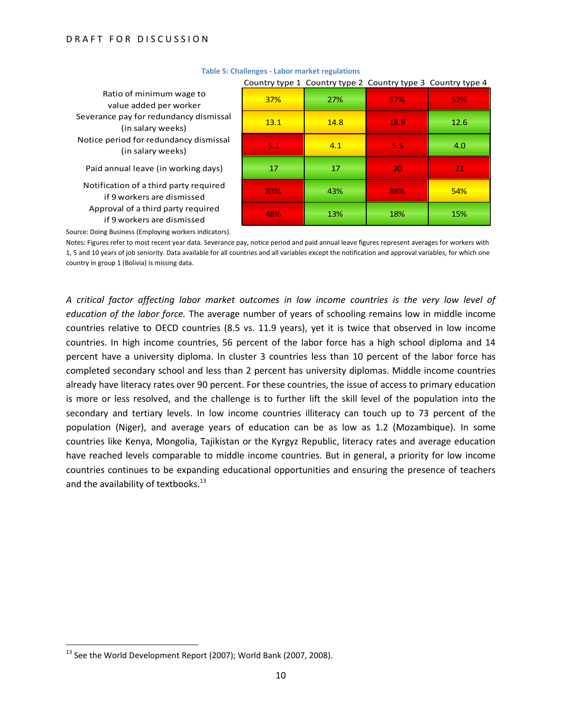|                                                       |      |      | Country type 1 Country type 2 Country type 3 Country type 4 |            |
|-------------------------------------------------------|------|------|-------------------------------------------------------------|------------|
| of minimum wage to<br>ue added per worker             | 37%  | 27%  | <b>57%</b>                                                  | <b>52%</b> |
| bay for redundancy dismissal<br>(in salary weeks)     | 13.1 | 14.8 | 18.9                                                        | 12.6       |
| od for redundancy dismissal<br>(in salary weeks)      | 5.1  | 4.1  | 5.5 <sub>1</sub>                                            | 4.0        |
| ual leave (in working days)                           | 17   | 17   | 20                                                          | 21         |
| on of a third party required<br>vorkers are dismissed | 83%  | 43%  | 88%                                                         | 54%        |
| I of a third party required<br>vorkers are dismissed  | 48%  | 13%  | 18%                                                         | 15%        |

#### **Table 5: Challenges - Labor market regulations**

Ratio of minimum wage to value added per worker Severance pay for redundancy dism Notice period for redundancy dism (in salary weeks) Paid annual leave (in working day

Notification of a third party requir if 9 workers are dismissed Approval of a third party require if 9 workers are dismissed

Source: Doing Business (Employing workers indicators).

Notes: Figures refer to most recent year data. Severance pay, notice period and paid annual leave figures represent averages for workers with 1, 5 and 10 years of job seniority. Data available for all countries and all variables except the notification and approval variables, for which one country in group 1 (Bolivia) is missing data.

*A critical factor affecting labor market outcomes in low income countries is the very low level of education of the labor force.* The average number of years of schooling remains low in middle income countries relative to OECD countries (8.5 vs. 11.9 years), yet it is twice that observed in low income countries. In high income countries, 56 percent of the labor force has a high school diploma and 14 percent have a university diploma. In cluster 3 countries less than 10 percent of the labor force has completed secondary school and less than 2 percent has university diplomas. Middle income countries already have literacy rates over 90 percent. For these countries, the issue of access to primary education is more or less resolved, and the challenge is to further lift the skill level of the population into the secondary and tertiary levels. In low income countries illiteracy can touch up to 73 percent of the population (Niger), and average years of education can be as low as 1.2 (Mozambique). In some countries like Kenya, Mongolia, Tajikistan or the Kyrgyz Republic, literacy rates and average education have reached levels comparable to middle income countries. But in general, a priority for low income countries continues to be expanding educational opportunities and ensuring the presence of teachers and the availability of textbooks.<sup>13</sup>

<sup>&</sup>lt;sup>13</sup> See the World Development Report (2007); World Bank (2007, 2008).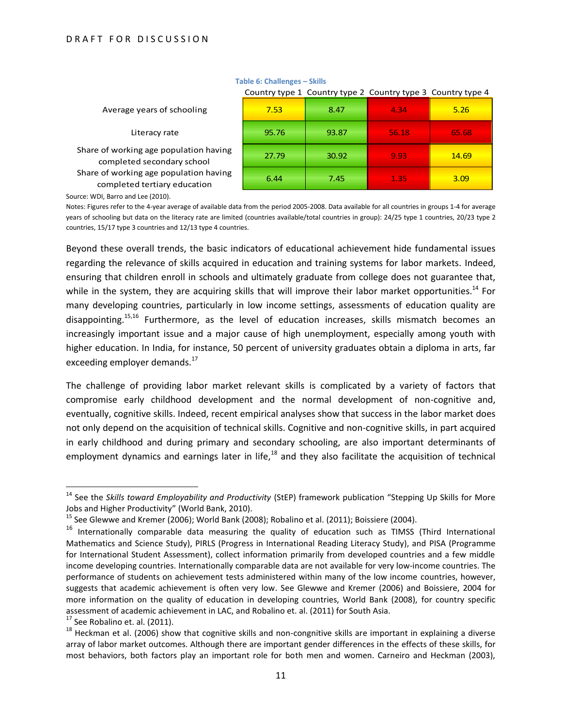|                                                                        |       |       | Country type I Country type Z Country type 5 Country type 4 |       |
|------------------------------------------------------------------------|-------|-------|-------------------------------------------------------------|-------|
| Average years of schooling                                             | 7.53  | 8.47  | 4.34                                                        | 5.26  |
| Literacy rate                                                          | 95.76 | 93.87 | 56.18                                                       | 65.68 |
| Share of working age population having<br>completed secondary school   | 27.79 | 30.92 | 9.93                                                        | 14.69 |
| Share of working age population having<br>completed tertiary education | 6.44  | 7.45  | 1.35                                                        | 3.09  |

#### **Table 6: Challenges – Skills**

Country type 1 Country type 2 Country type 3 Country type 4

Source: WDI, Barro and Lee (2010).

Notes: Figures refer to the 4-year average of available data from the period 2005-2008. Data available for all countries in groups 1-4 for average years of schooling but data on the literacy rate are limited (countries available/total countries in group): 24/25 type 1 countries, 20/23 type 2 countries, 15/17 type 3 countries and 12/13 type 4 countries.

Beyond these overall trends, the basic indicators of educational achievement hide fundamental issues regarding the relevance of skills acquired in education and training systems for labor markets. Indeed, ensuring that children enroll in schools and ultimately graduate from college does not guarantee that, while in the system, they are acquiring skills that will improve their labor market opportunities.<sup>14</sup> For many developing countries, particularly in low income settings, assessments of education quality are disappointing.<sup>15,16</sup> Furthermore, as the level of education increases, skills mismatch becomes an increasingly important issue and a major cause of high unemployment, especially among youth with higher education. In India, for instance, 50 percent of university graduates obtain a diploma in arts, far exceeding employer demands.<sup>17</sup>

The challenge of providing labor market relevant skills is complicated by a variety of factors that compromise early childhood development and the normal development of non-cognitive and, eventually, cognitive skills. Indeed, recent empirical analyses show that success in the labor market does not only depend on the acquisition of technical skills. Cognitive and non-cognitive skills, in part acquired in early childhood and during primary and secondary schooling, are also important determinants of employment dynamics and earnings later in life,<sup>18</sup> and they also facilitate the acquisition of technical

<sup>14</sup> See the *Skills toward Employability and Productivity* (StEP) framework publication "Stepping Up Skills for More Jobs and Higher Productivity" (World Bank, 2010).

<sup>&</sup>lt;sup>15</sup> See Glewwe and Kremer (2006); World Bank (2008); Robalino et al. (2011); Boissiere (2004).

<sup>&</sup>lt;sup>16</sup> Internationally comparable data measuring the quality of education such as TIMSS (Third International Mathematics and Science Study), PIRLS (Progress in International Reading Literacy Study), and PISA (Programme for International Student Assessment), collect information primarily from developed countries and a few middle income developing countries. Internationally comparable data are not available for very low-income countries. The performance of students on achievement tests administered within many of the low income countries, however, suggests that academic achievement is often very low. See Glewwe and Kremer (2006) and Boissiere, 2004 for more information on the quality of education in developing countries, World Bank (2008), for country specific assessment of academic achievement in LAC, and Robalino et. al. (2011) for South Asia.

 $17$  See Robalino et. al. (2011).

 $18$  Heckman et al. (2006) show that cognitive skills and non-congnitive skills are important in explaining a diverse array of labor market outcomes. Although there are important gender differences in the effects of these skills, for most behaviors, both factors play an important role for both men and women. Carneiro and Heckman (2003),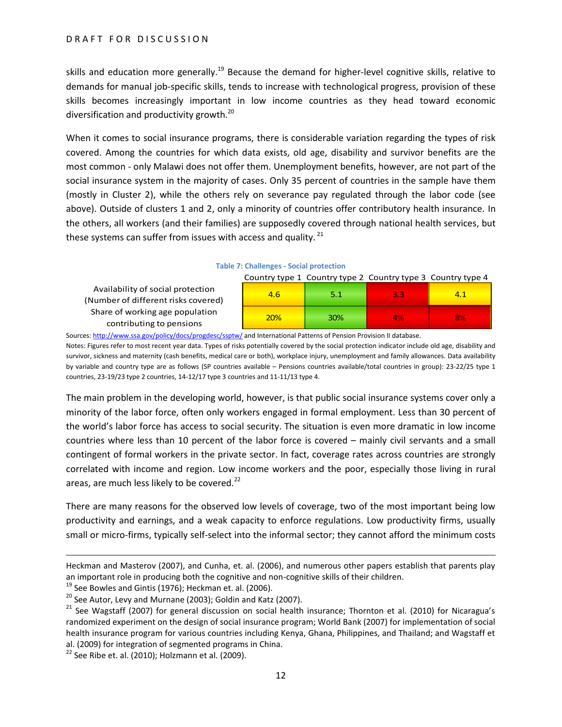skills and education more generally.<sup>19</sup> Because the demand for higher-level cognitive skills, relative to demands for manual job-specific skills, tends to increase with technological progress, provision of these skills becomes increasingly important in low income countries as they head toward economic diversification and productivity growth.<sup>20</sup>

When it comes to social insurance programs, there is considerable variation regarding the types of risk covered. Among the countries for which data exists, old age, disability and survivor benefits are the most common - only Malawi does not offer them. Unemployment benefits, however, are not part of the social insurance system in the majority of cases. Only 35 percent of countries in the sample have them (mostly in Cluster 2), while the others rely on severance pay regulated through the labor code (see above). Outside of clusters 1 and 2, only a minority of countries offer contributory health insurance. In the others, all workers (and their families) are supposedly covered through national health services, but these systems can suffer from issues with access and quality. $^{21}$ 

#### **Table 7: Challenges - Social protection**

Availability of social protection (Number of different risks covered) Share of working age population contributing to pensions

| Country type 1 Country type 2 Country type 3 Country type 4 |     |     |    |  |  |
|-------------------------------------------------------------|-----|-----|----|--|--|
| 4.6                                                         | 51  | 3.3 | 41 |  |  |
| 20%                                                         | 30% | 4%  | 8% |  |  |

Sources[: http://www.ssa.gov/policy/docs/progdesc/ssptw/](http://www.ssa.gov/policy/docs/progdesc/ssptw/) and International Patterns of Pension Provision II database.

Notes: Figures refer to most recent year data. Types of risks potentially covered by the social protection indicator include old age, disability and survivor, sickness and maternity (cash benefits, medical care or both), workplace injury, unemployment and family allowances. Data availability by variable and country type are as follows (SP countries available – Pensions countries available/total countries in group): 23-22/25 type 1 countries, 23-19/23 type 2 countries, 14-12/17 type 3 countries and 11-11/13 type 4.

The main problem in the developing world, however, is that public social insurance systems cover only a minority of the labor force, often only workers engaged in formal employment. Less than 30 percent of the world's labor force has access to social security. The situation is even more dramatic in low income countries where less than 10 percent of the labor force is covered – mainly civil servants and a small contingent of formal workers in the private sector. In fact, coverage rates across countries are strongly correlated with income and region. Low income workers and the poor, especially those living in rural areas, are much less likely to be covered.<sup>22</sup>

There are many reasons for the observed low levels of coverage, two of the most important being low productivity and earnings, and a weak capacity to enforce regulations. Low productivity firms, usually small or micro-firms, typically self-select into the informal sector; they cannot afford the minimum costs

 $19$  See Bowles and Gintis (1976); Heckman et. al. (2006).

Heckman and Masterov (2007), and Cunha, et. al. (2006), and numerous other papers establish that parents play an important role in producing both the cognitive and non-cognitive skills of their children.

 $^{20}$  See Autor, Levy and Murnane (2003); Goldin and Katz (2007).

<sup>&</sup>lt;sup>21</sup> See Wagstaff (2007) for general discussion on social health insurance; Thornton et al. (2010) for Nicaragua's randomized experiment on the design of social insurance program; World Bank (2007) for implementation of social health insurance program for various countries including Kenya, Ghana, Philippines, and Thailand; and Wagstaff et al. (2009) for integration of segmented programs in China.

 $22$  See Ribe et. al. (2010); Holzmann et al. (2009).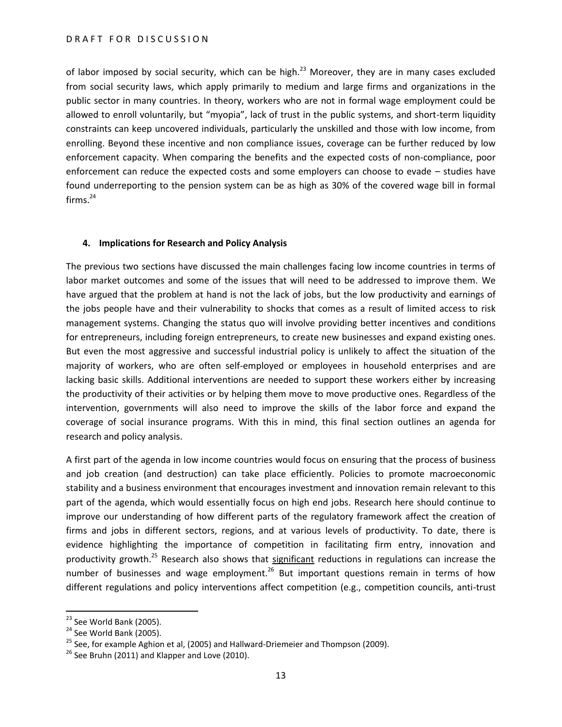of labor imposed by social security, which can be high. $^{23}$  Moreover, they are in many cases excluded from social security laws, which apply primarily to medium and large firms and organizations in the public sector in many countries. In theory, workers who are not in formal wage employment could be allowed to enroll voluntarily, but "myopia", lack of trust in the public systems, and short-term liquidity constraints can keep uncovered individuals, particularly the unskilled and those with low income, from enrolling. Beyond these incentive and non compliance issues, coverage can be further reduced by low enforcement capacity. When comparing the benefits and the expected costs of non-compliance, poor enforcement can reduce the expected costs and some employers can choose to evade – studies have found underreporting to the pension system can be as high as 30% of the covered wage bill in formal firms. $24$ 

# **4. Implications for Research and Policy Analysis**

The previous two sections have discussed the main challenges facing low income countries in terms of labor market outcomes and some of the issues that will need to be addressed to improve them. We have argued that the problem at hand is not the lack of jobs, but the low productivity and earnings of the jobs people have and their vulnerability to shocks that comes as a result of limited access to risk management systems. Changing the status quo will involve providing better incentives and conditions for entrepreneurs, including foreign entrepreneurs, to create new businesses and expand existing ones. But even the most aggressive and successful industrial policy is unlikely to affect the situation of the majority of workers, who are often self-employed or employees in household enterprises and are lacking basic skills. Additional interventions are needed to support these workers either by increasing the productivity of their activities or by helping them move to move productive ones. Regardless of the intervention, governments will also need to improve the skills of the labor force and expand the coverage of social insurance programs. With this in mind, this final section outlines an agenda for research and policy analysis.

A first part of the agenda in low income countries would focus on ensuring that the process of business and job creation (and destruction) can take place efficiently. Policies to promote macroeconomic stability and a business environment that encourages investment and innovation remain relevant to this part of the agenda, which would essentially focus on high end jobs. Research here should continue to improve our understanding of how different parts of the regulatory framework affect the creation of firms and jobs in different sectors, regions, and at various levels of productivity. To date, there is evidence highlighting the importance of competition in facilitating firm entry, innovation and productivity growth.<sup>25</sup> Research also shows that significant reductions in regulations can increase the number of businesses and wage employment.<sup>26</sup> But important questions remain in terms of how different regulations and policy interventions affect competition (e.g., competition councils, anti-trust

 $\overline{a}$ 

 $^{23}$  See World Bank (2005).

<sup>&</sup>lt;sup>24</sup> See World Bank (2005).

 $25$  See, for example Aghion et al, (2005) and Hallward-Driemeier and Thompson (2009).

 $26$  See Bruhn (2011) and Klapper and Love (2010).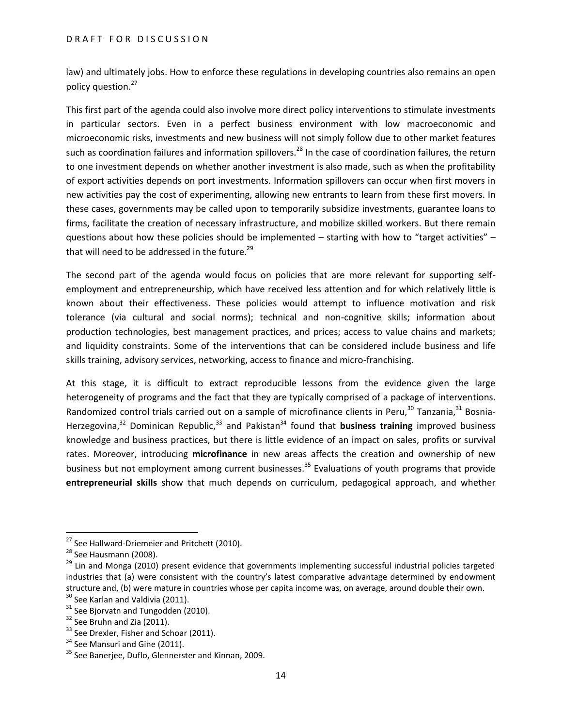law) and ultimately jobs. How to enforce these regulations in developing countries also remains an open policy question.<sup>27</sup>

This first part of the agenda could also involve more direct policy interventions to stimulate investments in particular sectors. Even in a perfect business environment with low macroeconomic and microeconomic risks, investments and new business will not simply follow due to other market features such as coordination failures and information spillovers.<sup>28</sup> In the case of coordination failures, the return to one investment depends on whether another investment is also made, such as when the profitability of export activities depends on port investments. Information spillovers can occur when first movers in new activities pay the cost of experimenting, allowing new entrants to learn from these first movers. In these cases, governments may be called upon to temporarily subsidize investments, guarantee loans to firms, facilitate the creation of necessary infrastructure, and mobilize skilled workers. But there remain questions about how these policies should be implemented – starting with how to "target activities" – that will need to be addressed in the future. $^{29}$ 

The second part of the agenda would focus on policies that are more relevant for supporting selfemployment and entrepreneurship, which have received less attention and for which relatively little is known about their effectiveness. These policies would attempt to influence motivation and risk tolerance (via cultural and social norms); technical and non-cognitive skills; information about production technologies, best management practices, and prices; access to value chains and markets; and liquidity constraints. Some of the interventions that can be considered include business and life skills training, advisory services, networking, access to finance and micro-franchising.

At this stage, it is difficult to extract reproducible lessons from the evidence given the large heterogeneity of programs and the fact that they are typically comprised of a package of interventions. Randomized control trials carried out on a sample of microfinance clients in Peru,  $30$  Tanzania,  $31$  Bosnia-Herzegovina,<sup>32</sup> Dominican Republic,<sup>33</sup> and Pakistan<sup>34</sup> found that **business training** improved business knowledge and business practices, but there is little evidence of an impact on sales, profits or survival rates. Moreover, introducing **microfinance** in new areas affects the creation and ownership of new business but not employment among current businesses.<sup>35</sup> Evaluations of youth programs that provide **entrepreneurial skills** show that much depends on curriculum, pedagogical approach, and whether

 $\overline{a}$ 

<sup>&</sup>lt;sup>27</sup> See Hallward-Driemeier and Pritchett (2010).

<sup>&</sup>lt;sup>28</sup> See Hausmann (2008).

<sup>&</sup>lt;sup>29</sup> Lin and Monga (2010) present evidence that governments implementing successful industrial policies targeted industries that (a) were consistent with the country's latest comparative advantage determined by endowment structure and, (b) were mature in countries whose per capita income was, on average, around double their own.

<sup>&</sup>lt;sup>30</sup> See Karlan and Valdivia (2011).  $31$  See Bjorvatn and Tungodden (2010).

<sup>&</sup>lt;sup>32</sup> See Bruhn and Zia (2011).

<sup>&</sup>lt;sup>33</sup> See Drexler, Fisher and Schoar (2011).

 $34$  See Mansuri and Gine (2011).

<sup>&</sup>lt;sup>35</sup> See Banerjee, Duflo, Glennerster and Kinnan, 2009.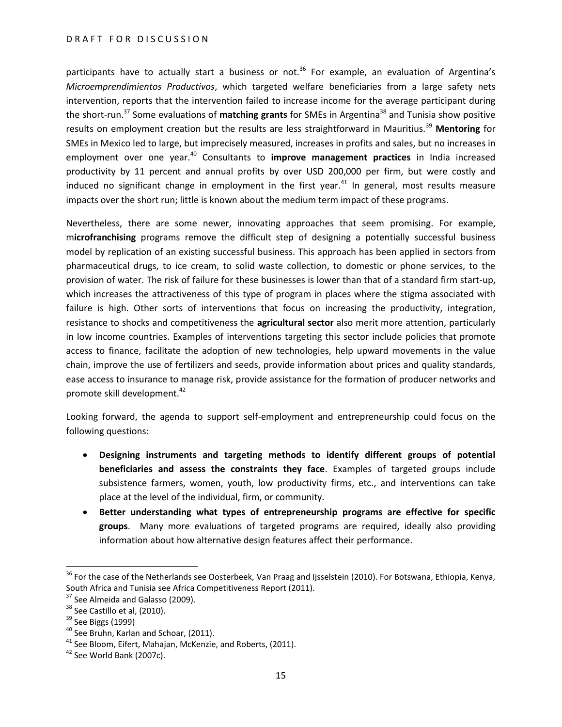participants have to actually start a business or not.<sup>36</sup> For example, an evaluation of Argentina's *Microemprendimientos Productivos*, which targeted welfare beneficiaries from a large safety nets intervention, reports that the intervention failed to increase income for the average participant during the short-run.<sup>37</sup> Some evaluations of **matching grants** for SMEs in Argentina<sup>38</sup> and Tunisia show positive results on employment creation but the results are less straightforward in Mauritius.<sup>39</sup> **Mentoring** for SMEs in Mexico led to large, but imprecisely measured, increases in profits and sales, but no increases in employment over one year.<sup>40</sup> Consultants to **improve management practices** in India increased productivity by 11 percent and annual profits by over USD 200,000 per firm, but were costly and induced no significant change in employment in the first year. $41$  In general, most results measure impacts over the short run; little is known about the medium term impact of these programs.

Nevertheless, there are some newer, innovating approaches that seem promising. For example, m**icrofranchising** programs remove the difficult step of designing a potentially successful business model by replication of an existing successful business. This approach has been applied in sectors from pharmaceutical drugs, to ice cream, to solid waste collection, to domestic or phone services, to the provision of water. The risk of failure for these businesses is lower than that of a standard firm start-up, which increases the attractiveness of this type of program in places where the stigma associated with failure is high. Other sorts of interventions that focus on increasing the productivity, integration, resistance to shocks and competitiveness the **agricultural sector** also merit more attention, particularly in low income countries. Examples of interventions targeting this sector include policies that promote access to finance, facilitate the adoption of new technologies, help upward movements in the value chain, improve the use of fertilizers and seeds, provide information about prices and quality standards, ease access to insurance to manage risk, provide assistance for the formation of producer networks and promote skill development.<sup>42</sup>

Looking forward, the agenda to support self-employment and entrepreneurship could focus on the following questions:

- **Designing instruments and targeting methods to identify different groups of potential beneficiaries and assess the constraints they face**. Examples of targeted groups include subsistence farmers, women, youth, low productivity firms, etc., and interventions can take place at the level of the individual, firm, or community.
- **Better understanding what types of entrepreneurship programs are effective for specific groups**. Many more evaluations of targeted programs are required, ideally also providing information about how alternative design features affect their performance.

<sup>&</sup>lt;sup>36</sup> For the case of the Netherlands see Oosterbeek, Van Praag and Ijsselstein (2010). For Botswana, Ethiopia, Kenya, South Africa and Tunisia see Africa Competitiveness Report (2011).

 $37$  See Almeida and Galasso (2009).

<sup>&</sup>lt;sup>38</sup> See Castillo et al, (2010).

<sup>&</sup>lt;sup>39</sup> See Biggs (1999)

<sup>40</sup> See Bruhn, Karlan and Schoar, (2011).

 $41$  See Bloom, Eifert, Mahajan, McKenzie, and Roberts, (2011).

<sup>&</sup>lt;sup>42</sup> See World Bank (2007c).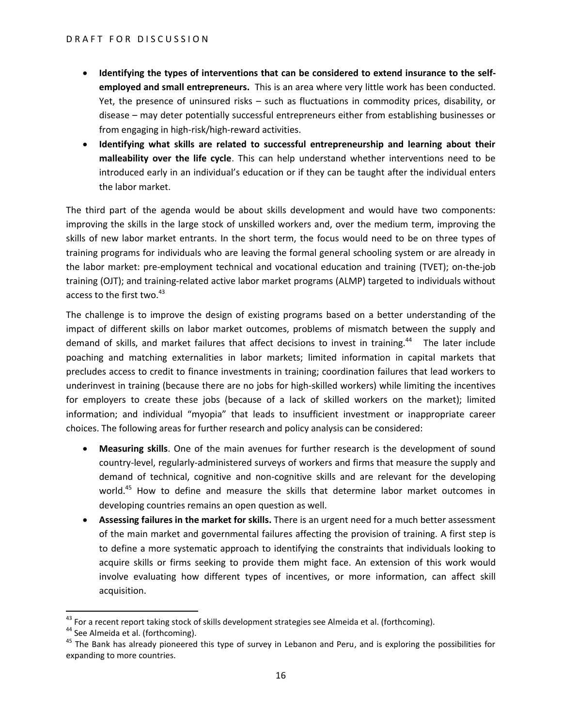- **Identifying the types of interventions that can be considered to extend insurance to the selfemployed and small entrepreneurs.** This is an area where very little work has been conducted. Yet, the presence of uninsured risks – such as fluctuations in commodity prices, disability, or disease – may deter potentially successful entrepreneurs either from establishing businesses or from engaging in high-risk/high-reward activities.
- **Identifying what skills are related to successful entrepreneurship and learning about their malleability over the life cycle**. This can help understand whether interventions need to be introduced early in an individual's education or if they can be taught after the individual enters the labor market.

The third part of the agenda would be about skills development and would have two components: improving the skills in the large stock of unskilled workers and, over the medium term, improving the skills of new labor market entrants. In the short term, the focus would need to be on three types of training programs for individuals who are leaving the formal general schooling system or are already in the labor market: pre-employment technical and vocational education and training (TVET); on-the-job training (OJT); and training-related active labor market programs (ALMP) targeted to individuals without access to the first two.<sup>43</sup>

The challenge is to improve the design of existing programs based on a better understanding of the impact of different skills on labor market outcomes, problems of mismatch between the supply and demand of skills, and market failures that affect decisions to invest in training.<sup>44</sup> The later include poaching and matching externalities in labor markets; limited information in capital markets that precludes access to credit to finance investments in training; coordination failures that lead workers to underinvest in training (because there are no jobs for high-skilled workers) while limiting the incentives for employers to create these jobs (because of a lack of skilled workers on the market); limited information; and individual "myopia" that leads to insufficient investment or inappropriate career choices. The following areas for further research and policy analysis can be considered:

- **Measuring skills**. One of the main avenues for further research is the development of sound country-level, regularly-administered surveys of workers and firms that measure the supply and demand of technical, cognitive and non-cognitive skills and are relevant for the developing world.<sup>45</sup> How to define and measure the skills that determine labor market outcomes in developing countries remains an open question as well.
- **Assessing failures in the market for skills.** There is an urgent need for a much better assessment of the main market and governmental failures affecting the provision of training. A first step is to define a more systematic approach to identifying the constraints that individuals looking to acquire skills or firms seeking to provide them might face. An extension of this work would involve evaluating how different types of incentives, or more information, can affect skill acquisition.

 $\overline{a}$ 

 $^{43}$  For a recent report taking stock of skills development strategies see Almeida et al. (forthcoming).

<sup>&</sup>lt;sup>44</sup> See Almeida et al. (forthcoming).

<sup>&</sup>lt;sup>45</sup> The Bank has already pioneered this type of survey in Lebanon and Peru, and is exploring the possibilities for expanding to more countries.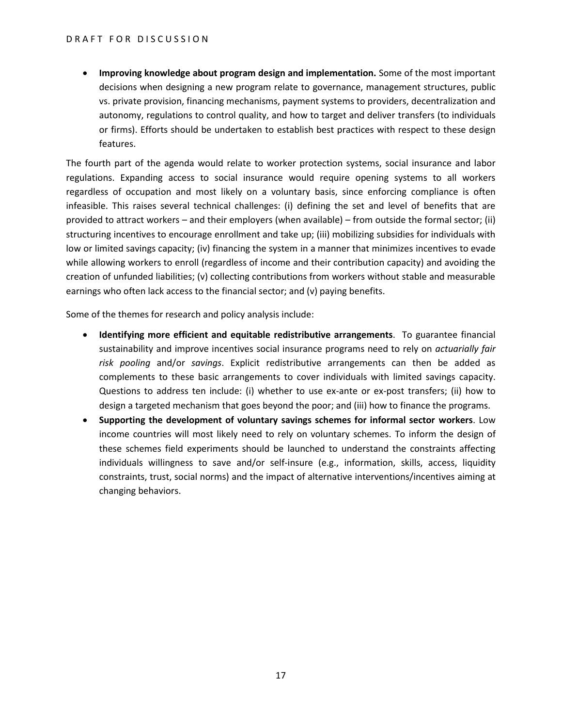**Improving knowledge about program design and implementation.** Some of the most important decisions when designing a new program relate to governance, management structures, public vs. private provision, financing mechanisms, payment systems to providers, decentralization and autonomy, regulations to control quality, and how to target and deliver transfers (to individuals or firms). Efforts should be undertaken to establish best practices with respect to these design features.

The fourth part of the agenda would relate to worker protection systems, social insurance and labor regulations. Expanding access to social insurance would require opening systems to all workers regardless of occupation and most likely on a voluntary basis, since enforcing compliance is often infeasible. This raises several technical challenges: (i) defining the set and level of benefits that are provided to attract workers – and their employers (when available) – from outside the formal sector; (ii) structuring incentives to encourage enrollment and take up; (iii) mobilizing subsidies for individuals with low or limited savings capacity; (iv) financing the system in a manner that minimizes incentives to evade while allowing workers to enroll (regardless of income and their contribution capacity) and avoiding the creation of unfunded liabilities; (v) collecting contributions from workers without stable and measurable earnings who often lack access to the financial sector; and (v) paying benefits.

Some of the themes for research and policy analysis include:

- **Identifying more efficient and equitable redistributive arrangements**. To guarantee financial sustainability and improve incentives social insurance programs need to rely on *actuarially fair risk pooling* and/or *savings*. Explicit redistributive arrangements can then be added as complements to these basic arrangements to cover individuals with limited savings capacity. Questions to address ten include: (i) whether to use ex-ante or ex-post transfers; (ii) how to design a targeted mechanism that goes beyond the poor; and (iii) how to finance the programs.
- **Supporting the development of voluntary savings schemes for informal sector workers**. Low income countries will most likely need to rely on voluntary schemes. To inform the design of these schemes field experiments should be launched to understand the constraints affecting individuals willingness to save and/or self-insure (e.g., information, skills, access, liquidity constraints, trust, social norms) and the impact of alternative interventions/incentives aiming at changing behaviors.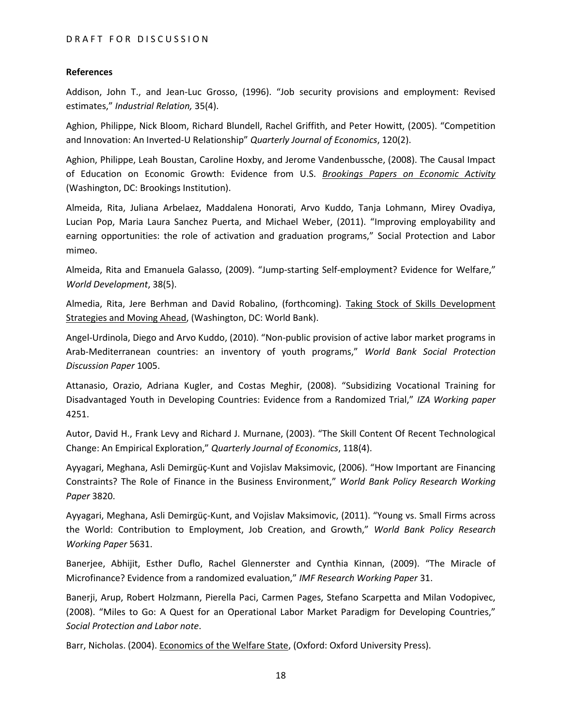# **References**

Addison, John T., and Jean-Luc Grosso, (1996). "Job security provisions and employment: Revised estimates," *Industrial Relation,* 35(4).

Aghion, Philippe, Nick Bloom, Richard Blundell, Rachel Griffith, and Peter Howitt, (2005). "Competition and Innovation: An Inverted-U Relationship" *Quarterly Journal of Economics*, 120(2).

Aghion, Philippe, Leah Boustan, Caroline Hoxby, and Jerome Vandenbussche, (2008). The Causal Impact of Education on Economic Growth: Evidence from U.S. *Brookings Papers on Economic Activity* (Washington, DC: Brookings Institution).

Almeida, Rita, Juliana Arbelaez, Maddalena Honorati, Arvo Kuddo, Tanja Lohmann, Mirey Ovadiya, Lucian Pop, Maria Laura Sanchez Puerta, and Michael Weber, (2011). "Improving employability and earning opportunities: the role of activation and graduation programs," Social Protection and Labor mimeo.

Almeida, Rita and Emanuela Galasso, (2009). "Jump-starting Self-employment? Evidence for Welfare," *World Development*, 38(5).

Almedia, Rita, Jere Berhman and David Robalino, (forthcoming). Taking Stock of Skills Development Strategies and Moving Ahead, (Washington, DC: World Bank).

Angel-Urdinola, Diego and Arvo Kuddo, (2010). "Non-public provision of active labor market programs in Arab-Mediterranean countries: an inventory of youth programs," *World Bank Social Protection Discussion Paper* 1005.

Attanasio, Orazio, Adriana Kugler, and Costas Meghir, (2008). "Subsidizing Vocational Training for Disadvantaged Youth in Developing Countries: Evidence from a Randomized Trial," *IZA Working paper*  4251.

Autor, David H., Frank Levy and Richard J. Murnane, (2003). "The Skill Content Of Recent Technological Change: An Empirical Exploration," *Quarterly Journal of Economics*, 118(4).

Ayyagari, Meghana, Asli Demirgüç-Kunt and Vojislav Maksimovic, (2006). "How Important are Financing Constraints? The Role of Finance in the Business Environment," *World Bank Policy Research Working Paper* 3820.

Ayyagari, Meghana, Asli Demirgüç-Kunt, and Vojislav Maksimovic, (2011). "Young vs. Small Firms across the World: Contribution to Employment, Job Creation, and Growth," *World Bank Policy Research Working Paper* 5631.

Banerjee, Abhijit, Esther Duflo, Rachel Glennerster and Cynthia Kinnan, (2009). "The Miracle of Microfinance? Evidence from a randomized evaluation," *IMF Research Working Paper* 31.

Banerji, Arup, Robert Holzmann, Pierella Paci, Carmen Pages, Stefano Scarpetta and Milan Vodopivec, (2008). "Miles to Go: A Quest for an Operational Labor Market Paradigm for Developing Countries," *Social Protection and Labor note*.

Barr, Nicholas. (2004). Economics of the Welfare State, (Oxford: Oxford University Press).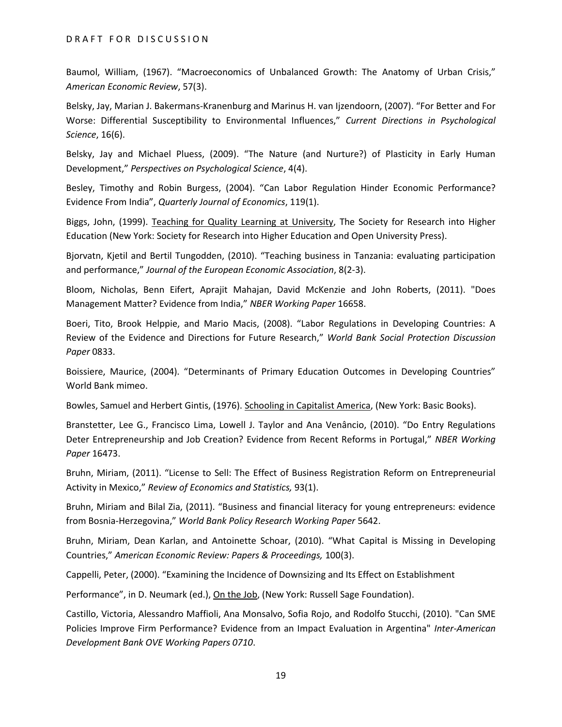Baumol, William, (1967). "Macroeconomics of Unbalanced Growth: The Anatomy of Urban Crisis," *American Economic Review*, 57(3).

Belsky, Jay, Marian J. Bakermans-Kranenburg and Marinus H. van Ijzendoorn, (2007). "For Better and For Worse: Differential Susceptibility to Environmental Influences," *Current Directions in Psychological Science*, 16(6).

Belsky, Jay and Michael Pluess, (2009). "The Nature (and Nurture?) of Plasticity in Early Human Development," *Perspectives on Psychological Science*, 4(4).

Besley, Timothy and Robin Burgess, (2004). "Can Labor Regulation Hinder Economic Performance? Evidence From India", *Quarterly Journal of Economics*, 119(1).

Biggs, John, (1999). Teaching for Quality Learning at University, The Society for Research into Higher Education (New York: Society for Research into Higher Education and Open University Press).

Bjorvatn, Kjetil and Bertil Tungodden, (2010). "Teaching business in Tanzania: evaluating participation and performance," *Journal of the European Economic Association*, 8(2-3).

Bloom, Nicholas, Benn Eifert, Aprajit Mahajan, David McKenzie and John Roberts, (2011). "Does Management Matter? Evidence from India," *NBER Working Paper* 16658.

Boeri, Tito, Brook Helppie, and Mario Macis, (2008). "Labor Regulations in Developing Countries: A Review of the Evidence and Directions for Future Research," *World Bank Social Protection Discussion Paper* 0833.

Boissiere, Maurice, (2004). "Determinants of Primary Education Outcomes in Developing Countries" World Bank mimeo.

Bowles, Samuel and Herbert Gintis, (1976). Schooling in Capitalist America, (New York: Basic Books).

Branstetter, Lee G., Francisco Lima, Lowell J. Taylor and Ana Venâncio, (2010). "Do Entry Regulations Deter Entrepreneurship and Job Creation? Evidence from Recent Reforms in Portugal," *NBER Working Paper* 16473.

Bruhn, Miriam, (2011). "License to Sell: The Effect of Business Registration Reform on Entrepreneurial Activity in Mexico," *Review of Economics and Statistics,* 93(1).

Bruhn, Miriam and Bilal Zia, (2011). "Business and financial literacy for young entrepreneurs: evidence from Bosnia-Herzegovina," *World Bank Policy Research Working Paper* 5642.

Bruhn, Miriam, Dean Karlan, and Antoinette Schoar, (2010). "What Capital is Missing in Developing Countries," *American Economic Review: Papers & Proceedings,* 100(3).

Cappelli, Peter, (2000). "Examining the Incidence of Downsizing and Its Effect on Establishment

Performance", in D. Neumark (ed.), On the Job, (New York: Russell Sage Foundation).

Castillo, Victoria, Alessandro Maffioli, Ana Monsalvo, Sofia Rojo, and Rodolfo Stucchi, (2010). "Can SME Policies Improve Firm Performance? Evidence from an Impact Evaluation in Argentina" *Inter-American Development Bank OVE Working Papers 0710*.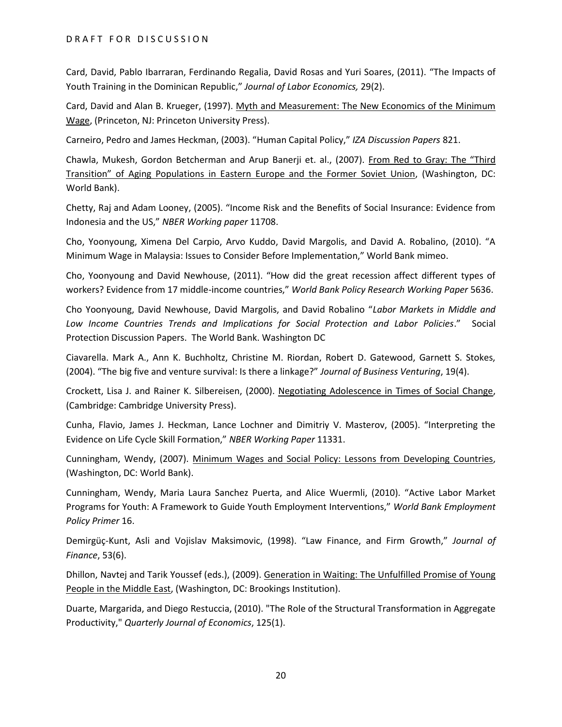Card, David, Pablo Ibarraran, Ferdinando Regalia, David Rosas and Yuri Soares, (2011). "The Impacts of Youth Training in the Dominican Republic," *Journal of Labor Economics,* 29(2).

Card, David and Alan B. Krueger, (1997). Myth and Measurement: The New Economics of the Minimum Wage, (Princeton, NJ: Princeton University Press).

Carneiro, Pedro and James Heckman, (2003). "Human Capital Policy," *IZA Discussion Papers* 821.

Chawla, Mukesh, Gordon Betcherman and Arup Banerji et. al., (2007). From Red to Gray: The "Third Transition" of Aging Populations in Eastern Europe and the Former Soviet Union, (Washington, DC: World Bank).

Chetty, Raj and Adam Looney, (2005). "Income Risk and the Benefits of Social Insurance: Evidence from Indonesia and the US," *NBER Working paper* 11708.

Cho, Yoonyoung, Ximena Del Carpio, Arvo Kuddo, David Margolis, and David A. Robalino, (2010). "A Minimum Wage in Malaysia: Issues to Consider Before Implementation," World Bank mimeo.

Cho, Yoonyoung and David Newhouse, (2011). "How did the great recession affect different types of workers? Evidence from 17 middle-income countries," *World Bank Policy Research Working Paper* 5636.

Cho Yoonyoung, David Newhouse, David Margolis, and David Robalino "*Labor Markets in Middle and Low Income Countries Trends and Implications for Social Protection and Labor Policies*." Social Protection Discussion Papers. The World Bank. Washington DC

Ciavarella. Mark A., Ann K. Buchholtz, Christine M. Riordan, Robert D. Gatewood, Garnett S. Stokes, (2004). "The big five and venture survival: Is there a linkage?" *Journal of Business Venturing*, 19(4).

Crockett, Lisa J. and Rainer K. Silbereisen, (2000). Negotiating Adolescence in Times of Social Change, (Cambridge: Cambridge University Press).

Cunha, Flavio, James J. Heckman, Lance Lochner and Dimitriy V. Masterov, (2005). "Interpreting the Evidence on Life Cycle Skill Formation," *NBER Working Paper* 11331.

Cunningham, Wendy, (2007). Minimum Wages and Social Policy: Lessons from Developing Countries, (Washington, DC: World Bank).

Cunningham, Wendy, Maria Laura Sanchez Puerta, and Alice Wuermli, (2010). "Active Labor Market Programs for Youth: A Framework to Guide Youth Employment Interventions," *World Bank Employment Policy Primer* 16.

Demirgüç-Kunt, Asli and Vojislav Maksimovic, (1998). "Law Finance, and Firm Growth," *Journal of Finance*, 53(6).

Dhillon, Navtej and Tarik Youssef (eds.), (2009). Generation in Waiting: The Unfulfilled Promise of Young People in the Middle East, (Washington, DC: Brookings Institution).

Duarte, Margarida, and Diego Restuccia, (2010). "The Role of the Structural Transformation in Aggregate Productivity," *Quarterly Journal of Economics*, 125(1).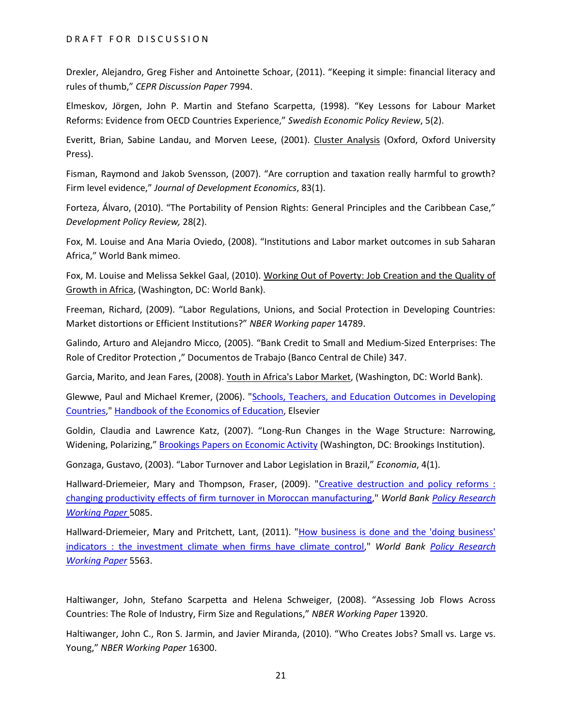Drexler, Alejandro, Greg Fisher and Antoinette Schoar, (2011). "Keeping it simple: financial literacy and rules of thumb," *CEPR Discussion Paper* 7994.

Elmeskov, Jörgen, John P. Martin and Stefano Scarpetta, (1998). "Key Lessons for Labour Market Reforms: Evidence from OECD Countries Experience," *Swedish Economic Policy Review*, 5(2).

Everitt, Brian, Sabine Landau, and Morven Leese, (2001). Cluster Analysis (Oxford, Oxford University Press).

Fisman, Raymond and Jakob Svensson, (2007). "Are corruption and taxation really harmful to growth? Firm level evidence," *Journal of Development Economics*, 83(1).

Forteza, Álvaro, (2010). "The Portability of Pension Rights: General Principles and the Caribbean Case," *Development Policy Review,* 28(2).

Fox, M. Louise and Ana Maria Oviedo, (2008). "Institutions and Labor market outcomes in sub Saharan Africa," World Bank mimeo.

Fox, M. Louise and Melissa Sekkel Gaal, (2010). Working Out of Poverty: Job Creation and the Quality of Growth in Africa, (Washington, DC: World Bank).

Freeman, Richard, (2009). "Labor Regulations, Unions, and Social Protection in Developing Countries: Market distortions or Efficient Institutions?" *NBER Working paper* 14789.

Galindo, Arturo and Alejandro Micco, (2005). "Bank Credit to Small and Medium-Sized Enterprises: The Role of Creditor Protection ," Documentos de Trabajo (Banco Central de Chile) 347.

Garcia, Marito, and Jean Fares, (2008). Youth in Africa's Labor Market, (Washington, DC: World Bank).

Glewwe, Paul and Michael Kremer, (2006). ["Schools, Teachers, and Education Outcomes in Developing](http://ideas.repec.org/h/eee/educhp/2-16.html)  [Countries,](http://ideas.repec.org/h/eee/educhp/2-16.html)[" Handbook of the Economics of Education,](http://ideas.repec.org/s/eee/educhp.html) Elsevier

Goldin, Claudia and Lawrence Katz, (2007). "Long-Run Changes in the Wage Structure: Narrowing, Widening, Polarizing," [Brookings Papers on Economic Activity](http://ideas.repec.org/s/bin/bpeajo.html) (Washington, DC: Brookings Institution).

Gonzaga, Gustavo, (2003). "Labor Turnover and Labor Legislation in Brazil," *Economia*, 4(1).

Hallward-Driemeier, Mary and Thompson, Fraser, (2009). "Creative destruction and policy reforms : [changing productivity effects of firm turnover in Moroccan manufacturing,](http://ideas.repec.org/p/wbk/wbrwps/5085.html)" *World Bank [Policy Research](http://ideas.repec.org/s/wbk/wbrwps.html)  [Working Paper](http://ideas.repec.org/s/wbk/wbrwps.html)* 5085.

Hallward-Driemeier, Mary and Pritchett, Lant, (2011). ["How business is done and the 'doing business'](http://ideas.repec.org/p/wbk/wbrwps/5563.html)  [indicators : the investment climate when firms have climate control,](http://ideas.repec.org/p/wbk/wbrwps/5563.html)" *World Bank [Policy Research](http://ideas.repec.org/s/wbk/wbrwps.html)  [Working Paper](http://ideas.repec.org/s/wbk/wbrwps.html)* 5563.

Haltiwanger, John, Stefano Scarpetta and Helena Schweiger, (2008). "Assessing Job Flows Across Countries: The Role of Industry, Firm Size and Regulations," *NBER Working Paper* 13920.

Haltiwanger, John C., Ron S. Jarmin, and Javier Miranda, (2010). "Who Creates Jobs? Small vs. Large vs. Young," *NBER Working Paper* 16300.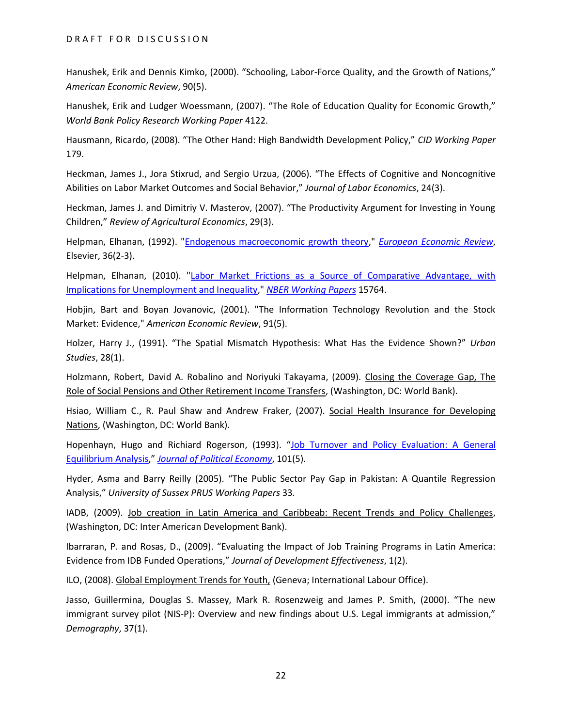Hanushek, Erik and Dennis Kimko, (2000). "Schooling, Labor-Force Quality, and the Growth of Nations," *American Economic Review*, 90(5).

Hanushek, Erik and Ludger Woessmann, (2007). "The Role of Education Quality for Economic Growth," *World Bank Policy Research Working Paper* 4122.

Hausmann, Ricardo, (2008). "The Other Hand: High Bandwidth Development Policy," *CID Working Paper* 179.

Heckman, James J., Jora Stixrud, and Sergio Urzua, (2006). "The Effects of Cognitive and Noncognitive Abilities on Labor Market Outcomes and Social Behavior," *Journal of Labor Economics*, 24(3).

Heckman, James J. and Dimitriy V. Masterov, (2007). "The Productivity Argument for Investing in Young Children," *Review of Agricultural Economics*, 29(3).

Helpman, Elhanan, (1992). ["Endogenous macroeconomic growth theory,](http://ideas.repec.org/a/eee/eecrev/v36y1992i2-3p237-267.html)" *[European Economic Review](http://ideas.repec.org/s/eee/eecrev.html)*, Elsevier, 36(2-3).

Helpman, Elhanan, (2010). ["Labor Market Frictions as a Source of Comparative Advantage, with](http://ideas.repec.org/p/nbr/nberwo/15764.html)  [Implications for Unemployment and Inequality,](http://ideas.repec.org/p/nbr/nberwo/15764.html)" *[NBER Working Papers](http://ideas.repec.org/s/nbr/nberwo.html)* 15764.

Hobjin, Bart and Boyan Jovanovic, (2001). "The Information Technology Revolution and the Stock Market: Evidence," *American Economic Review*, 91(5).

Holzer, Harry J., (1991). "The Spatial Mismatch Hypothesis: What Has the Evidence Shown?" *Urban Studies*, 28(1).

Holzmann, Robert, David A. Robalino and Noriyuki Takayama, (2009). Closing the Coverage Gap, The Role of Social Pensions and Other Retirement Income Transfers, (Washington, DC: World Bank).

Hsiao, William C., R. Paul Shaw and Andrew Fraker, (2007). Social Health Insurance for Developing Nations, (Washington, DC: World Bank).

Hopenhayn, Hugo and Richiard Rogerson, (1993). "[Job Turnover and Policy Evaluation: A General](http://ideas.repec.org/a/ucp/jpolec/v101y1993i5p915-38.html)  [Equilibrium Analysis](http://ideas.repec.org/a/ucp/jpolec/v101y1993i5p915-38.html)," *[Journal of Political Economy](http://ideas.repec.org/s/ucp/jpolec.html)*, 101(5).

Hyder, Asma and Barry Reilly (2005). "The Public Sector Pay Gap in Pakistan: A Quantile Regression Analysis," *University of Sussex PRUS Working Papers* 33*.*

IADB, (2009). Job creation in Latin America and Caribbeab: Recent Trends and Policy Challenges, (Washington, DC: Inter American Development Bank).

Ibarraran, P. and Rosas, D., (2009). "Evaluating the Impact of Job Training Programs in Latin America: Evidence from IDB Funded Operations," *Journal of Development Effectiveness*, 1(2).

ILO, (2008). Global Employment Trends for Youth, (Geneva; International Labour Office).

Jasso, Guillermina, Douglas S. Massey, Mark R. Rosenzweig and James P. Smith, (2000). "The new immigrant survey pilot (NIS-P): Overview and new findings about U.S. Legal immigrants at admission," *Demography*, 37(1).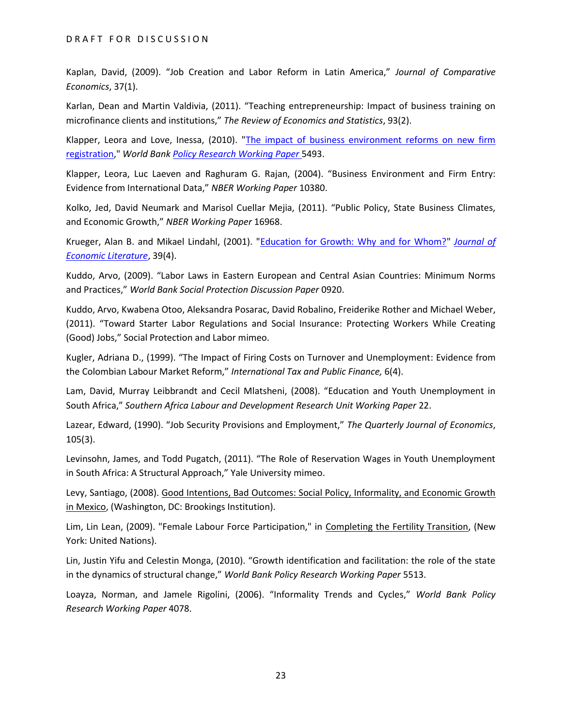Kaplan, David, (2009). "Job Creation and Labor Reform in Latin America," *Journal of Comparative Economics*, 37(1).

Karlan, Dean and Martin Valdivia, (2011). "Teaching entrepreneurship: Impact of business training on microfinance clients and institutions," *The Review of Economics and Statistics*, 93(2).

Klapper, Leora and Love, Inessa, (2010). "The impact of business environment reforms on new firm [registration,](http://ideas.repec.org/p/wbk/wbrwps/5493.html)" *World Bank [Policy Research Working Paper](http://ideas.repec.org/s/wbk/wbrwps.html)* 5493.

Klapper, Leora, Luc Laeven and Raghuram G. Rajan, (2004). "Business Environment and Firm Entry: Evidence from International Data," *NBER Working Paper* 10380.

Kolko, Jed, David Neumark and Marisol Cuellar Mejia, (2011). "Public Policy, State Business Climates, and Economic Growth," *NBER Working Paper* 16968.

Krueger, Alan B. and Mikael Lindahl, (2001). ["Education for Growth: Why and for Whom?"](http://ideas.repec.org/a/aea/jeclit/v39y2001i4p1101-1136.html) *[Journal of](http://ideas.repec.org/s/aea/jeclit.html)  [Economic Literature](http://ideas.repec.org/s/aea/jeclit.html)*, 39(4).

Kuddo, Arvo, (2009). "Labor Laws in Eastern European and Central Asian Countries: Minimum Norms and Practices," *World Bank Social Protection Discussion Paper* 0920.

Kuddo, Arvo, Kwabena Otoo, Aleksandra Posarac, David Robalino, Freiderike Rother and Michael Weber, (2011). "Toward Starter Labor Regulations and Social Insurance: Protecting Workers While Creating (Good) Jobs," Social Protection and Labor mimeo.

Kugler, Adriana D., (1999). "The Impact of Firing Costs on Turnover and Unemployment: Evidence from the Colombian Labour Market Reform," *International Tax and Public Finance,* 6(4).

Lam, David, Murray Leibbrandt and Cecil Mlatsheni, (2008). "Education and Youth Unemployment in South Africa," *Southern Africa Labour and Development Research Unit Working Paper* 22.

Lazear, Edward, (1990). "Job Security Provisions and Employment," *The Quarterly Journal of Economics*, 105(3).

Levinsohn, James, and Todd Pugatch, (2011). "The Role of Reservation Wages in Youth Unemployment in South Africa: A Structural Approach," Yale University mimeo.

Levy, Santiago, (2008). Good Intentions, Bad Outcomes: Social Policy, Informality, and Economic Growth in Mexico, (Washington, DC: Brookings Institution).

Lim, Lin Lean, (2009). "Female Labour Force Participation," in Completing the Fertility Transition, (New York: United Nations).

Lin, Justin Yifu and Celestin Monga, (2010). "Growth identification and facilitation: the role of the state in the dynamics of structural change," *World Bank Policy Research Working Paper* 5513.

Loayza, Norman, and Jamele Rigolini, (2006). "Informality Trends and Cycles," *World Bank Policy Research Working Paper* 4078.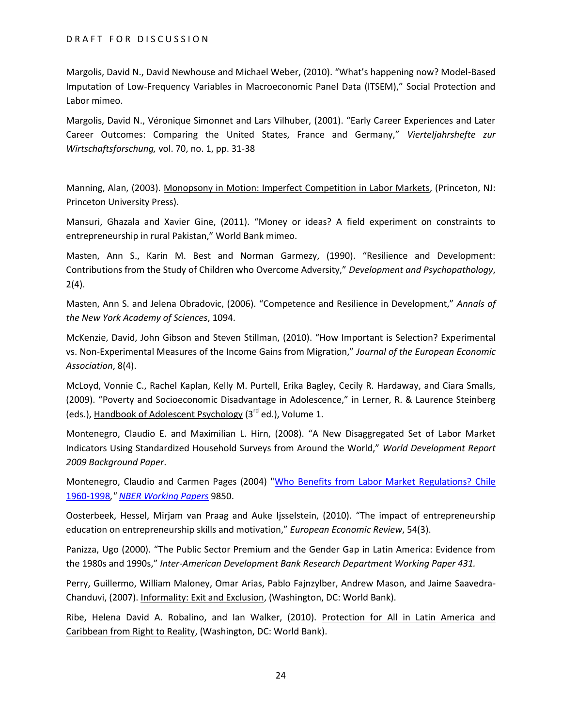Margolis, David N., David Newhouse and Michael Weber, (2010). "What's happening now? Model-Based Imputation of Low-Frequency Variables in Macroeconomic Panel Data (ITSEM)," Social Protection and Labor mimeo.

Margolis, David N., Véronique Simonnet and Lars Vilhuber, (2001). "Early Career Experiences and Later Career Outcomes: Comparing the United States, France and Germany," *Vierteljahrshefte zur Wirtschaftsforschung,* vol. 70, no. 1, pp. 31-38

Manning, Alan, (2003). Monopsony in Motion: Imperfect Competition in Labor Markets, (Princeton, NJ: Princeton University Press).

Mansuri, Ghazala and Xavier Gine, (2011). "Money or ideas? A field experiment on constraints to entrepreneurship in rural Pakistan," World Bank mimeo.

Masten, Ann S., Karin M. Best and Norman Garmezy, (1990). "Resilience and Development: Contributions from the Study of Children who Overcome Adversity," *Development and Psychopathology*, 2(4).

Masten, Ann S. and Jelena Obradovic, (2006). "Competence and Resilience in Development," *Annals of the New York Academy of Sciences*, 1094.

McKenzie, David, John Gibson and Steven Stillman, (2010). "How Important is Selection? Experimental vs. Non‐Experimental Measures of the Income Gains from Migration," *Journal of the European Economic Association*, 8(4).

McLoyd, Vonnie C., Rachel Kaplan, Kelly M. Purtell, Erika Bagley, Cecily R. Hardaway, and Ciara Smalls, (2009). "Poverty and Socioeconomic Disadvantage in Adolescence," in Lerner, R. & Laurence Steinberg (eds.), Handbook of Adolescent Psychology (3<sup>rd</sup> ed.), Volume 1.

Montenegro, Claudio E. and Maximilian L. Hirn, (2008). "A New Disaggregated Set of Labor Market Indicators Using Standardized Household Surveys from Around the World," *World Development Report 2009 Background Paper*.

Montenegro, Claudio and Carmen Pages (2004) "Who Benefits from Labor Market Regulations? Chile [1960-1998](http://ideas.repec.org/p/nbr/nberwo/9850.html)*,[" NBER Working Papers](http://ideas.repec.org/s/nbr/nberwo.html)* 9850.

Oosterbeek, Hessel, Mirjam van Praag and Auke Ijsselstein, (2010). "The impact of entrepreneurship education on entrepreneurship skills and motivation," *European Economic Review*, 54(3).

Panizza, Ugo (2000). "The Public Sector Premium and the Gender Gap in Latin America: Evidence from the 1980s and 1990s," *Inter-American Development Bank Research Department Working Paper 431.*

Perry, Guillermo, William Maloney, Omar Arias, Pablo Fajnzylber, Andrew Mason, and Jaime Saavedra-Chanduvi, (2007). Informality: Exit and Exclusion, (Washington, DC: World Bank).

Ribe, Helena David A. Robalino, and Ian Walker, (2010). Protection for All in Latin America and Caribbean from Right to Reality, (Washington, DC: World Bank).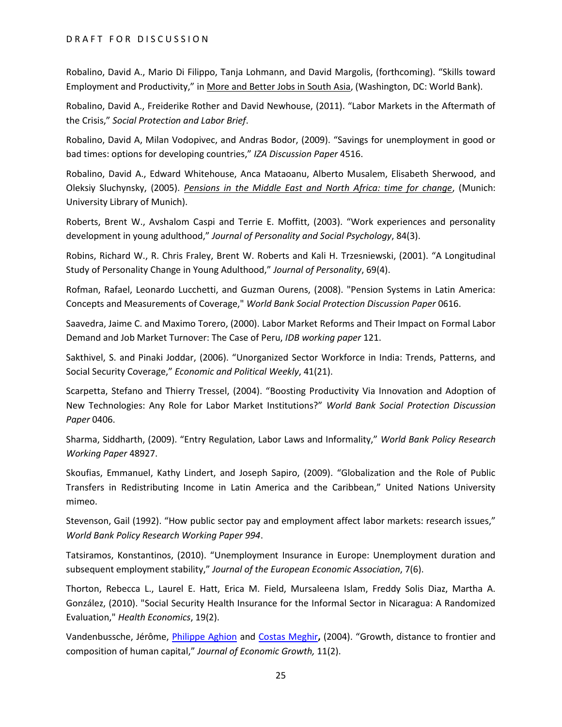Robalino, David A., Mario Di Filippo, Tanja Lohmann, and David Margolis, (forthcoming). "Skills toward Employment and Productivity," in More and Better Jobs in South Asia, (Washington, DC: World Bank).

Robalino, David A., Freiderike Rother and David Newhouse, (2011). "Labor Markets in the Aftermath of the Crisis," *Social Protection and Labor Brief*.

Robalino, David A, Milan Vodopivec, and Andras Bodor, (2009). "Savings for unemployment in good or bad times: options for developing countries," *IZA Discussion Paper* 4516.

Robalino, David A., Edward Whitehouse, Anca Mataoanu, Alberto Musalem, Elisabeth Sherwood, and Oleksiy Sluchynsky, (2005). *Pensions in the Middle East and North Africa: time for change*, (Munich: University Library of Munich).

Roberts, Brent W., Avshalom Caspi and Terrie E. Moffitt, (2003). "Work experiences and personality development in young adulthood," *Journal of Personality and Social Psychology*, 84(3).

Robins, Richard W., R. Chris Fraley, Brent W. Roberts and Kali H. Trzesniewski, (2001). "A Longitudinal Study of Personality Change in Young Adulthood," *Journal of Personality*, 69(4).

Rofman, Rafael, Leonardo Lucchetti, and Guzman Ourens, (2008). "Pension Systems in Latin America: Concepts and Measurements of Coverage," *World Bank Social Protection Discussion Paper* 0616.

Saavedra, Jaime C. and Maximo Torero, (2000). Labor Market Reforms and Their Impact on Formal Labor Demand and Job Market Turnover: The Case of Peru, *IDB working paper* 121.

Sakthivel, S. and Pinaki Joddar, (2006). "Unorganized Sector Workforce in India: Trends, Patterns, and Social Security Coverage," *Economic and Political Weekly*, 41(21).

Scarpetta, Stefano and Thierry Tressel, (2004). "Boosting Productivity Via Innovation and Adoption of New Technologies: Any Role for Labor Market Institutions?" *World Bank Social Protection Discussion Paper* 0406.

Sharma, Siddharth, (2009). "Entry Regulation, Labor Laws and Informality," *World Bank Policy Research Working Paper* 48927.

Skoufias, Emmanuel, Kathy Lindert, and Joseph Sapiro, (2009). "Globalization and the Role of Public Transfers in Redistributing Income in Latin America and the Caribbean," United Nations University mimeo.

Stevenson, Gail (1992). "How public sector pay and employment affect labor markets: research issues," *World Bank Policy Research Working Paper 994*.

Tatsiramos, Konstantinos, (2010). "Unemployment Insurance in Europe: Unemployment duration and subsequent employment stability," *Journal of the European Economic Association*, 7(6).

Thorton, Rebecca L., Laurel E. Hatt, Erica M. Field, Mursaleena Islam, Freddy Solis Diaz, Martha A. González, (2010). "Social Security Health Insurance for the Informal Sector in Nicaragua: A Randomized Evaluation," *Health Economics*, 19(2).

Vandenbussche, Jérôme, [Philippe Aghion](http://www.springerlink.com/content/?Author=Philippe+Aghion) and [Costas Meghir](http://www.springerlink.com/content/?Author=Costas+Meghir)**,** (2004). "Growth, distance to frontier and composition of human capital," *Journal of Economic Growth,* 11(2).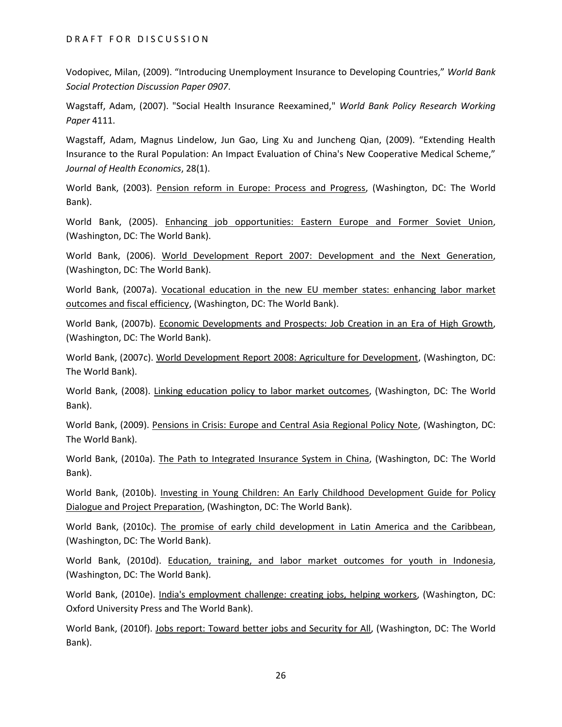Vodopivec, Milan, (2009). "Introducing Unemployment Insurance to Developing Countries," *World Bank Social Protection Discussion Paper 0907*.

Wagstaff, Adam, (2007). "Social Health Insurance Reexamined," *World Bank Policy Research Working Paper* 4111.

Wagstaff, Adam, Magnus Lindelow, Jun Gao, Ling Xu and Juncheng Qian, (2009). "Extending Health Insurance to the Rural Population: An Impact Evaluation of China's New Cooperative Medical Scheme," *Journal of Health Economics*, 28(1).

World Bank, (2003). Pension reform in Europe: Process and Progress, (Washington, DC: The World Bank).

World Bank, (2005). Enhancing job opportunities: Eastern Europe and Former Soviet Union, (Washington, DC: The World Bank).

World Bank, (2006). World Development Report 2007: Development and the Next Generation, (Washington, DC: The World Bank).

World Bank, (2007a). Vocational education in the new EU member states: enhancing labor market outcomes and fiscal efficiency, (Washington, DC: The World Bank).

World Bank, (2007b). Economic Developments and Prospects: Job Creation in an Era of High Growth, (Washington, DC: The World Bank).

World Bank, (2007c). World Development Report 2008: Agriculture for Development, (Washington, DC: The World Bank).

World Bank, (2008). Linking education policy to labor market outcomes, (Washington, DC: The World Bank).

World Bank, (2009). Pensions in Crisis: Europe and Central Asia Regional Policy Note, (Washington, DC: The World Bank).

World Bank, (2010a). The Path to Integrated Insurance System in China, (Washington, DC: The World Bank).

World Bank, (2010b). Investing in Young Children: An Early Childhood Development Guide for Policy Dialogue and Project Preparation, (Washington, DC: The World Bank).

World Bank, (2010c). The promise of early child development in Latin America and the Caribbean, (Washington, DC: The World Bank).

World Bank, (2010d). Education, training, and labor market outcomes for youth in Indonesia, (Washington, DC: The World Bank).

World Bank, (2010e). India's employment challenge: creating jobs, helping workers, (Washington, DC: Oxford University Press and The World Bank).

World Bank, (2010f). Jobs report: Toward better jobs and Security for All, (Washington, DC: The World Bank).